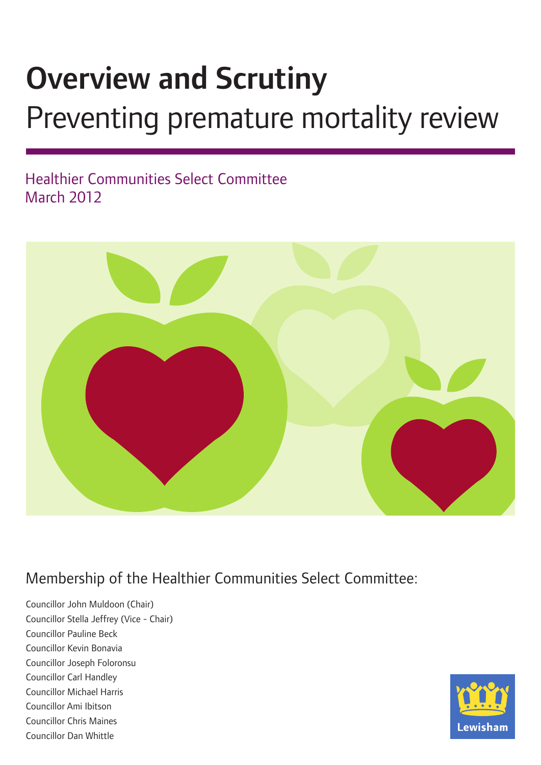# Overview and Scrutiny

# Preventing premature mortality review

# Healthier Communities Select Committee March 2012



# Membership of the Healthier Communities Select Committee:

Councillor John Muldoon (Chair) Councillor Stella Jeffrey (Vice - Chair) Councillor Pauline Beck Councillor Kevin Bonavia Councillor Joseph Foloronsu Councillor Carl Handley Councillor Michael Harris Councillor Ami Ibitson Councillor Chris Maines Councillor Dan Whittle

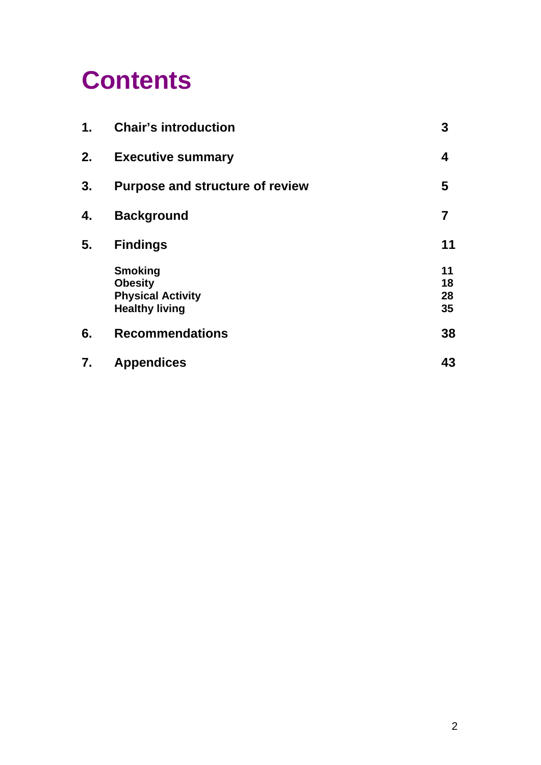# **Contents**

| 1. | <b>Chair's introduction</b>                                                           | 3                    |
|----|---------------------------------------------------------------------------------------|----------------------|
| 2. | <b>Executive summary</b>                                                              | 4                    |
| 3. | <b>Purpose and structure of review</b>                                                | 5                    |
| 4. | <b>Background</b>                                                                     | 7                    |
| 5. | <b>Findings</b>                                                                       | 11                   |
|    | <b>Smoking</b><br><b>Obesity</b><br><b>Physical Activity</b><br><b>Healthy living</b> | 11<br>18<br>28<br>35 |
| 6. | <b>Recommendations</b>                                                                | 38                   |
| 7. | <b>Appendices</b>                                                                     | 43                   |
|    |                                                                                       |                      |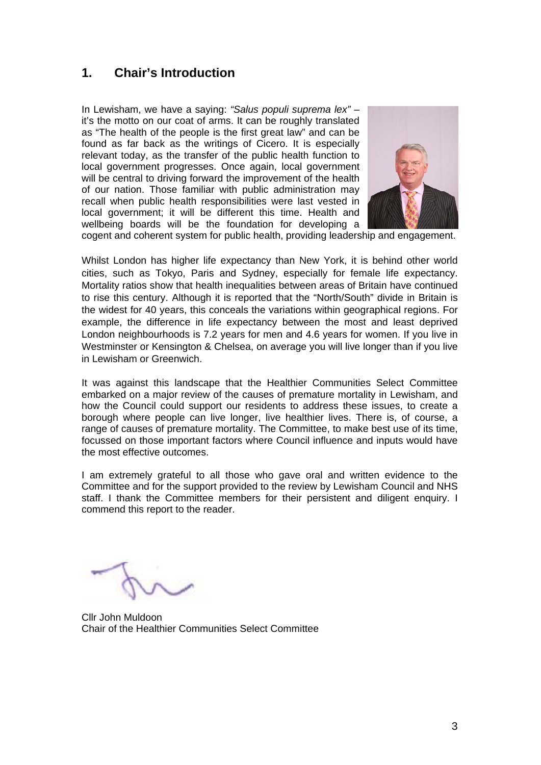# **1. Chair's Introduction**

In Lewisham, we have a saying: *"Salus populi suprema lex"* – it's the motto on our coat of arms. It can be roughly translated as "The health of the people is the first great law" and can be found as far back as the writings of Cicero. It is especially relevant today, as the transfer of the public health function to local government progresses. Once again, local government will be central to driving forward the improvement of the health of our nation. Those familiar with public administration may recall when public health responsibilities were last vested in local government; it will be different this time. Health and wellbeing boards will be the foundation for developing a



cogent and coherent system for public health, providing leadership and engagement.

Whilst London has higher life expectancy than New York, it is behind other world cities, such as Tokyo, Paris and Sydney, especially for female life expectancy. Mortality ratios show that health inequalities between areas of Britain have continued to rise this century. Although it is reported that the "North/South" divide in Britain is the widest for 40 years, this conceals the variations within geographical regions. For example, the difference in life expectancy between the most and least deprived London neighbourhoods is 7.2 years for men and 4.6 years for women. If you live in Westminster or Kensington & Chelsea, on average you will live longer than if you live in Lewisham or Greenwich.

It was against this landscape that the Healthier Communities Select Committee embarked on a major review of the causes of premature mortality in Lewisham, and how the Council could support our residents to address these issues, to create a borough where people can live longer, live healthier lives. There is, of course, a range of causes of premature mortality. The Committee, to make best use of its time, focussed on those important factors where Council influence and inputs would have the most effective outcomes.

I am extremely grateful to all those who gave oral and written evidence to the Committee and for the support provided to the review by Lewisham Council and NHS staff. I thank the Committee members for their persistent and diligent enquiry. I commend this report to the reader.

Cllr John Muldoon Chair of the Healthier Communities Select Committee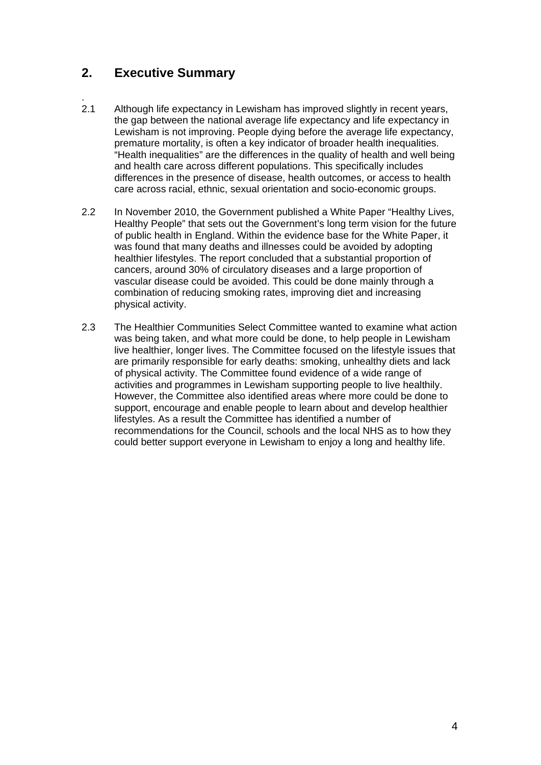# **2. Executive Summary**

- . 2.1 Although life expectancy in Lewisham has improved slightly in recent years, the gap between the national average life expectancy and life expectancy in Lewisham is not improving. People dying before the average life expectancy, premature mortality, is often a key indicator of broader health inequalities. "Health inequalities" are the differences in the quality of health and well being and health care across different populations. This specifically includes differences in the presence of disease, health outcomes, or access to health care across racial, ethnic, sexual orientation and socio-economic groups.
- 2.2 In November 2010, the Government published a White Paper "Healthy Lives, Healthy People" that sets out the Government's long term vision for the future of public health in England. Within the evidence base for the White Paper, it was found that many deaths and illnesses could be avoided by adopting healthier lifestyles. The report concluded that a substantial proportion of cancers, around 30% of circulatory diseases and a large proportion of vascular disease could be avoided. This could be done mainly through a combination of reducing smoking rates, improving diet and increasing physical activity.
- 2.3 The Healthier Communities Select Committee wanted to examine what action was being taken, and what more could be done, to help people in Lewisham live healthier, longer lives. The Committee focused on the lifestyle issues that are primarily responsible for early deaths: smoking, unhealthy diets and lack of physical activity. The Committee found evidence of a wide range of activities and programmes in Lewisham supporting people to live healthily. However, the Committee also identified areas where more could be done to support, encourage and enable people to learn about and develop healthier lifestyles. As a result the Committee has identified a number of recommendations for the Council, schools and the local NHS as to how they could better support everyone in Lewisham to enjoy a long and healthy life.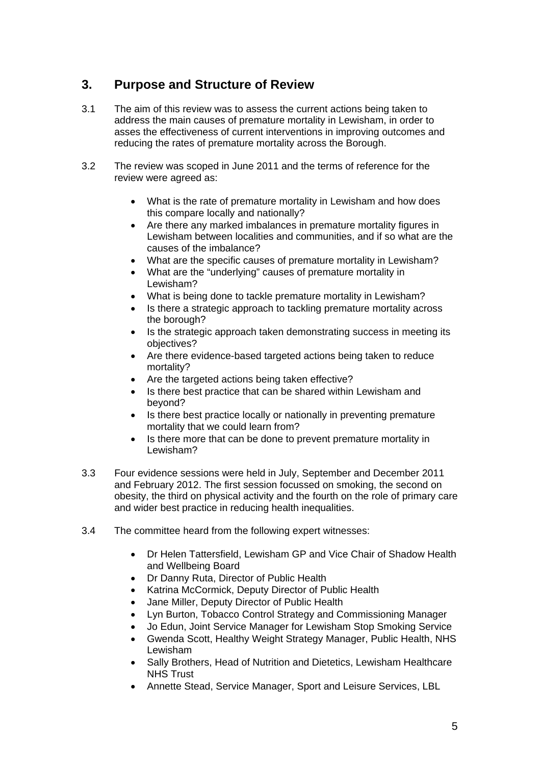# **3. Purpose and Structure of Review**

- 3.1 The aim of this review was to assess the current actions being taken to address the main causes of premature mortality in Lewisham, in order to asses the effectiveness of current interventions in improving outcomes and reducing the rates of premature mortality across the Borough.
- 3.2 The review was scoped in June 2011 and the terms of reference for the review were agreed as:
	- What is the rate of premature mortality in Lewisham and how does this compare locally and nationally?
	- Are there any marked imbalances in premature mortality figures in Lewisham between localities and communities, and if so what are the causes of the imbalance?
	- What are the specific causes of premature mortality in Lewisham?
	- What are the "underlying" causes of premature mortality in Lewisham?
	- What is being done to tackle premature mortality in Lewisham?
	- Is there a strategic approach to tackling premature mortality across the borough?
	- Is the strategic approach taken demonstrating success in meeting its objectives?
	- Are there evidence-based targeted actions being taken to reduce mortality?
	- Are the targeted actions being taken effective?
	- Is there best practice that can be shared within Lewisham and beyond?
	- Is there best practice locally or nationally in preventing premature mortality that we could learn from?
	- Is there more that can be done to prevent premature mortality in Lewisham?
- 3.3 Four evidence sessions were held in July, September and December 2011 and February 2012. The first session focussed on smoking, the second on obesity, the third on physical activity and the fourth on the role of primary care and wider best practice in reducing health inequalities.
- 3.4 The committee heard from the following expert witnesses:
	- Dr Helen Tattersfield, Lewisham GP and Vice Chair of Shadow Health and Wellbeing Board
	- Dr Danny Ruta, Director of Public Health
	- Katrina McCormick, Deputy Director of Public Health
	- Jane Miller, Deputy Director of Public Health
	- Lyn Burton, Tobacco Control Strategy and Commissioning Manager
	- Jo Edun, Joint Service Manager for Lewisham Stop Smoking Service
	- Gwenda Scott, Healthy Weight Strategy Manager, Public Health, NHS Lewisham
	- Sally Brothers, Head of Nutrition and Dietetics, Lewisham Healthcare NHS Trust
	- Annette Stead, Service Manager, Sport and Leisure Services, LBL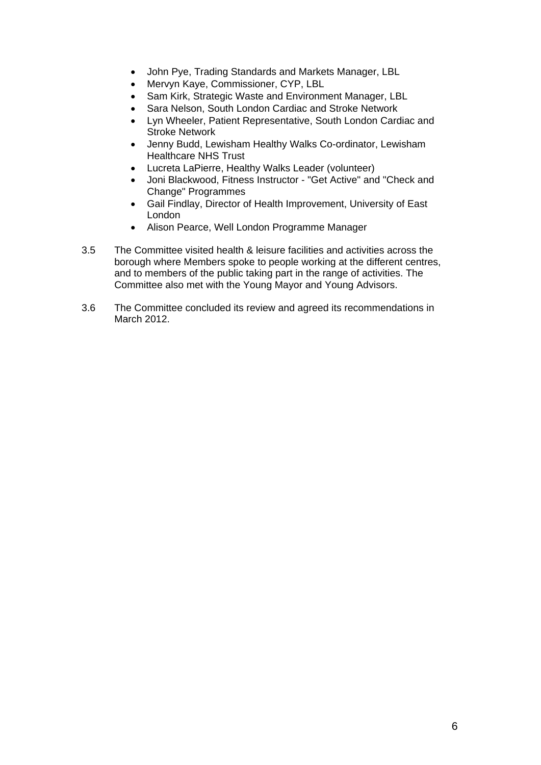- John Pye, Trading Standards and Markets Manager, LBL
- Mervyn Kaye, Commissioner, CYP, LBL
- Sam Kirk, Strategic Waste and Environment Manager, LBL
- Sara Nelson, South London Cardiac and Stroke Network
- Lyn Wheeler, Patient Representative, South London Cardiac and Stroke Network
- Jenny Budd, Lewisham Healthy Walks Co-ordinator, Lewisham Healthcare NHS Trust
- Lucreta LaPierre, Healthy Walks Leader (volunteer)
- Joni Blackwood, Fitness Instructor "Get Active" and "Check and Change" Programmes
- Gail Findlay, Director of Health Improvement, University of East London
- Alison Pearce, Well London Programme Manager
- 3.5 The Committee visited health & leisure facilities and activities across the borough where Members spoke to people working at the different centres, and to members of the public taking part in the range of activities. The Committee also met with the Young Mayor and Young Advisors.
- 3.6 The Committee concluded its review and agreed its recommendations in March 2012.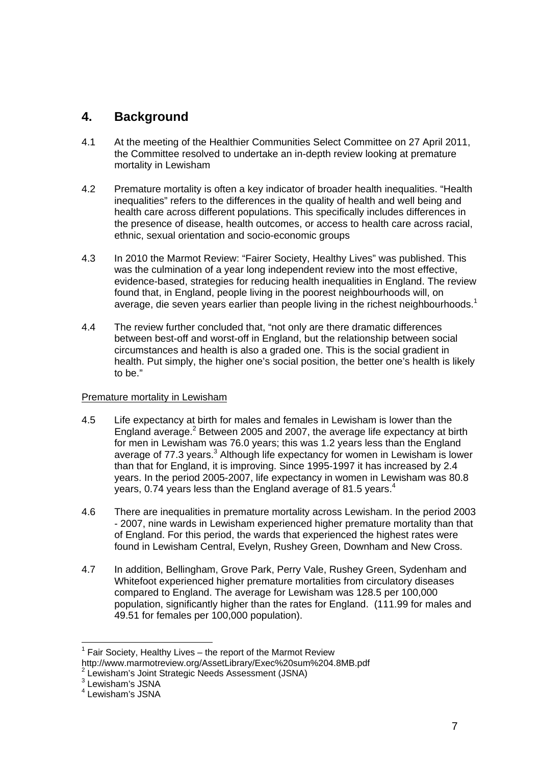# **4. Background**

- 4.1 At the meeting of the Healthier Communities Select Committee on 27 April 2011, the Committee resolved to undertake an in-depth review looking at premature mortality in Lewisham
- 4.2 Premature mortality is often a key indicator of broader health inequalities. "Health inequalities" refers to the differences in the quality of health and well being and health care across different populations. This specifically includes differences in the presence of disease, health outcomes, or access to health care across racial, ethnic, sexual orientation and socio-economic groups
- 4.3 In 2010 the Marmot Review: "Fairer Society, Healthy Lives" was published. This was the culmination of a year long independent review into the most effective, evidence-based, strategies for reducing health inequalities in England. The review found that, in England, people living in the poorest neighbourhoods will, on average, die seven years earlier than people living in the richest neighbourhoods.<sup>1</sup>
- 4.4 The review further concluded that, "not only are there dramatic differences between best-off and worst-off in England, but the relationship between social circumstances and health is also a graded one. This is the social gradient in health. Put simply, the higher one's social position, the better one's health is likely to be."

#### Premature mortality in Lewisham

- 4.5 Life expectancy at birth for males and females in Lewisham is lower than the England average.<sup>2</sup> Between 2005 and 2007, the average life expectancy at birth for men in Lewisham was 76.0 years; this was 1.2 years less than the England average of 77.3 years.<sup>3</sup> Although life expectancy for women in Lewisham is lower than that for England, it is improving. Since 1995-1997 it has increased by 2.4 years. In the period 2005-2007, life expectancy in women in Lewisham was 80.8 years, 0.74 years less than the England average of 81.5 years.<sup>4</sup>
- 4.6 There are inequalities in premature mortality across Lewisham. In the period 2003 - 2007, nine wards in Lewisham experienced higher premature mortality than that of England. For this period, the wards that experienced the highest rates were found in Lewisham Central, Evelyn, Rushey Green, Downham and New Cross.
- 4.7 In addition, Bellingham, Grove Park, Perry Vale, Rushey Green, Sydenham and Whitefoot experienced higher premature mortalities from circulatory diseases compared to England. The average for Lewisham was 128.5 per 100,000 population, significantly higher than the rates for England. (111.99 for males and 49.51 for females per 100,000 population).

<sup>3</sup> Lewisham's JSNA

 $\overline{a}$ 

 $1$  Fair Society, Healthy Lives – the report of the Marmot Review http://www.marmotreview.org/AssetLibrary/Exec%20sum%204.8MB.pdf

<sup>&</sup>lt;sup>2</sup> Lewisham's Joint Strategic Needs Assessment (JSNA)

<sup>4</sup> Lewisham's JSNA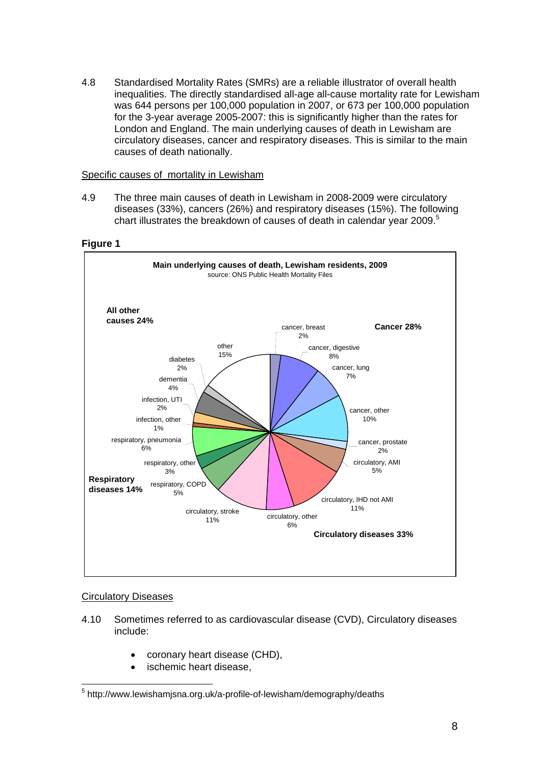4.8 Standardised Mortality Rates (SMRs) are a reliable illustrator of overall health inequalities. The directly standardised all-age all-cause mortality rate for Lewisham was 644 persons per 100,000 population in 2007, or 673 per 100,000 population for the 3-year average 2005-2007: this is significantly higher than the rates for London and England. The main underlying causes of death in Lewisham are circulatory diseases, cancer and respiratory diseases. This is similar to the main causes of death nationally.

#### Specific causes of mortality in Lewisham

4.9 The three main causes of death in Lewisham in 2008-2009 were circulatory diseases (33%), cancers (26%) and respiratory diseases (15%). The following chart illustrates the breakdown of causes of death in calendar year 2009.<sup>5</sup>

**Figure 1** 



#### Circulatory Diseases

- 4.10 Sometimes referred to as cardiovascular disease (CVD), Circulatory diseases include:
	- coronary heart disease (CHD),
	- ischemic heart disease.

 5 http://www.lewishamjsna.org.uk/a-profile-of-lewisham/demography/deaths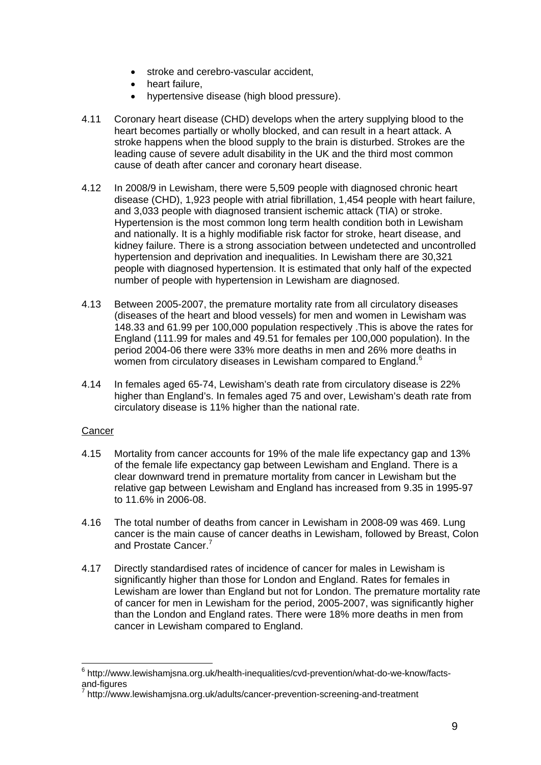- stroke and cerebro-vascular accident,
- heart failure,
- hypertensive disease (high blood pressure).
- 4.11 Coronary heart disease (CHD) develops when the artery supplying blood to the heart becomes partially or wholly blocked, and can result in a heart attack. A stroke happens when the blood supply to the brain is disturbed. Strokes are the leading cause of severe adult disability in the UK and the third most common cause of death after cancer and coronary heart disease.
- 4.12 In 2008/9 in Lewisham, there were 5,509 people with diagnosed chronic heart disease (CHD), 1,923 people with atrial fibrillation, 1,454 people with heart failure, and 3,033 people with diagnosed transient ischemic attack (TIA) or stroke. Hypertension is the most common long term health condition both in Lewisham and nationally. It is a highly modifiable risk factor for stroke, heart disease, and kidney failure. There is a strong association between undetected and uncontrolled hypertension and deprivation and inequalities. In Lewisham there are 30,321 people with diagnosed hypertension. It is estimated that only half of the expected number of people with hypertension in Lewisham are diagnosed.
- 4.13 Between 2005-2007, the premature mortality rate from all circulatory diseases (diseases of the heart and blood vessels) for men and women in Lewisham was 148.33 and 61.99 per 100,000 population respectively .This is above the rates for England (111.99 for males and 49.51 for females per 100,000 population). In the period 2004-06 there were 33% more deaths in men and 26% more deaths in women from circulatory diseases in Lewisham compared to England.<sup>6</sup>
- 4.14 In females aged 65-74, Lewisham's death rate from circulatory disease is 22% higher than England's. In females aged 75 and over, Lewisham's death rate from circulatory disease is 11% higher than the national rate.

#### **Cancer**

 $\overline{a}$ 

- 4.15 Mortality from cancer accounts for 19% of the male life expectancy gap and 13% of the female life expectancy gap between Lewisham and England. There is a clear downward trend in premature mortality from cancer in Lewisham but the relative gap between Lewisham and England has increased from 9.35 in 1995-97 to 11.6% in 2006-08.
- 4.16 The total number of deaths from cancer in Lewisham in 2008-09 was 469. Lung cancer is the main cause of cancer deaths in Lewisham, followed by Breast, Colon and Prostate Cancer.<sup>7</sup>
- 4.17 Directly standardised rates of incidence of cancer for males in Lewisham is significantly higher than those for London and England. Rates for females in Lewisham are lower than England but not for London. The premature mortality rate of cancer for men in Lewisham for the period, 2005-2007, was significantly higher than the London and England rates. There were 18% more deaths in men from cancer in Lewisham compared to England.

<sup>&</sup>lt;sup>6</sup> http://www.lewishamjsna.org.uk/health-inequalities/cvd-prevention/what-do-we-know/factsand-figures

<sup>7</sup> http://www.lewishamjsna.org.uk/adults/cancer-prevention-screening-and-treatment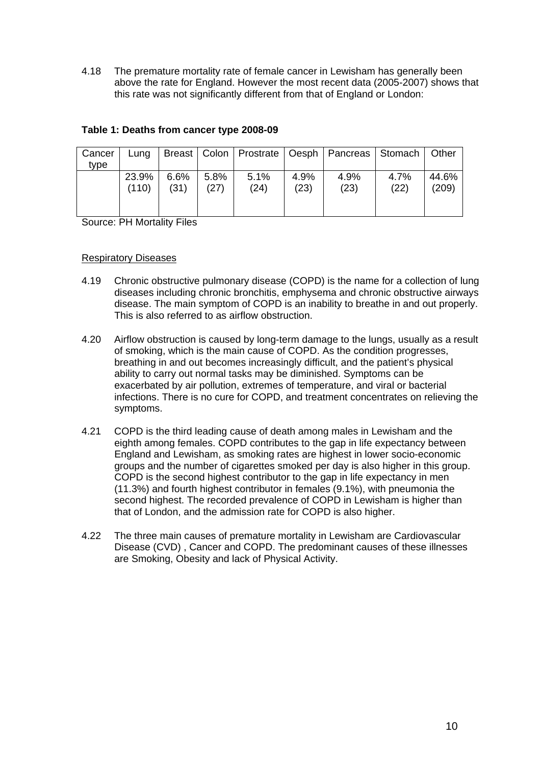4.18 The premature mortality rate of female cancer in Lewisham has generally been above the rate for England. However the most recent data (2005-2007) shows that this rate was not significantly different from that of England or London:

| Cancer | Luna  |      |      |      |      | Breast   Colon   Prostrate   Oesph   Pancreas   Stomach |      | <b>Other</b> |
|--------|-------|------|------|------|------|---------------------------------------------------------|------|--------------|
| tvpe   |       |      |      |      |      |                                                         |      |              |
|        | 23.9% | 6.6% | 5.8% | 5.1% | 4.9% | 4.9%                                                    | 4.7% | 44.6%        |
|        | (110) | (31) | (27) | (24) | (23) | (23)                                                    | (22) | (209)        |
|        |       |      |      |      |      |                                                         |      |              |
|        |       |      |      |      |      |                                                         |      |              |

#### **Table 1: Deaths from cancer type 2008-09**

Source: PH Mortality Files

#### Respiratory Diseases

- 4.19 Chronic obstructive pulmonary disease (COPD) is the name for a collection of lung diseases including chronic bronchitis, emphysema and chronic obstructive airways disease. The main symptom of COPD is an inability to breathe in and out properly. This is also referred to as airflow obstruction.
- 4.20 Airflow obstruction is caused by long-term damage to the lungs, usually as a result of smoking, which is the main cause of COPD. As the condition progresses, breathing in and out becomes increasingly difficult, and the patient's physical ability to carry out normal tasks may be diminished. Symptoms can be exacerbated by air pollution, extremes of temperature, and viral or bacterial infections. There is no cure for COPD, and treatment concentrates on relieving the symptoms.
- 4.21 COPD is the third leading cause of death among males in Lewisham and the eighth among females. COPD contributes to the gap in life expectancy between England and Lewisham, as smoking rates are highest in lower socio-economic groups and the number of cigarettes smoked per day is also higher in this group. COPD is the second highest contributor to the gap in life expectancy in men (11.3%) and fourth highest contributor in females (9.1%), with pneumonia the second highest. The recorded prevalence of COPD in Lewisham is higher than that of London, and the admission rate for COPD is also higher.
- 4.22 The three main causes of premature mortality in Lewisham are Cardiovascular Disease (CVD) , Cancer and COPD. The predominant causes of these illnesses are Smoking, Obesity and lack of Physical Activity.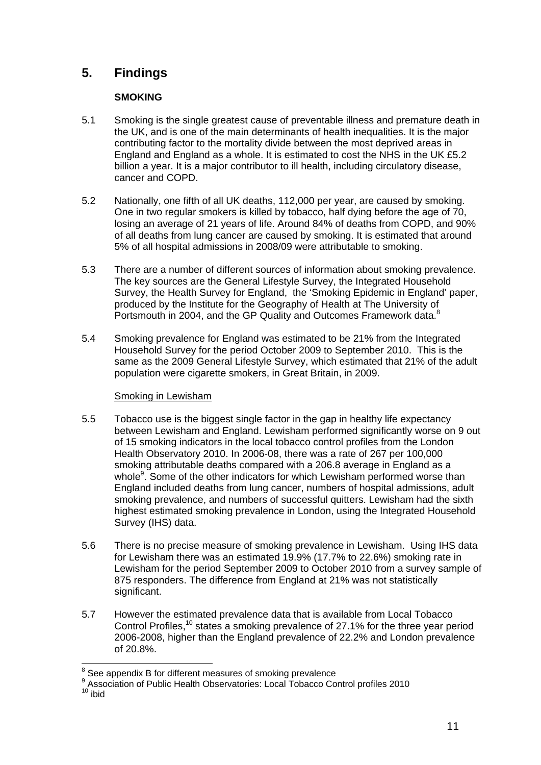# **5. Findings**

#### **SMOKING**

- 5.1 Smoking is the single greatest cause of preventable illness and premature death in the UK, and is one of the main determinants of health inequalities. It is the major contributing factor to the mortality divide between the most deprived areas in England and England as a whole. It is estimated to cost the NHS in the UK £5.2 billion a year. It is a major contributor to ill health, including circulatory disease, cancer and COPD.
- 5.2 Nationally, one fifth of all UK deaths, 112,000 per year, are caused by smoking. One in two regular smokers is killed by tobacco, half dying before the age of 70, losing an average of 21 years of life. Around 84% of deaths from COPD, and 90% of all deaths from lung cancer are caused by smoking. It is estimated that around 5% of all hospital admissions in 2008/09 were attributable to smoking.
- 5.3 There are a number of different sources of information about smoking prevalence. The key sources are the General Lifestyle Survey, the Integrated Household Survey, the Health Survey for England, the 'Smoking Epidemic in England' paper, produced by the Institute for the Geography of Health at The University of Portsmouth in 2004, and the GP Quality and Outcomes Framework data.<sup>8</sup>
- 5.4 Smoking prevalence for England was estimated to be 21% from the Integrated Household Survey for the period October 2009 to September 2010. This is the same as the 2009 General Lifestyle Survey, which estimated that 21% of the adult population were cigarette smokers, in Great Britain, in 2009.

#### Smoking in Lewisham

- 5.5 Tobacco use is the biggest single factor in the gap in healthy life expectancy between Lewisham and England. Lewisham performed significantly worse on 9 out of 15 smoking indicators in the local tobacco control profiles from the London Health Observatory 2010. In 2006-08, there was a rate of 267 per 100,000 smoking attributable deaths compared with a 206.8 average in England as a whole<sup>9</sup>. Some of the other indicators for which Lewisham performed worse than England included deaths from lung cancer, numbers of hospital admissions, adult smoking prevalence, and numbers of successful quitters. Lewisham had the sixth highest estimated smoking prevalence in London, using the Integrated Household Survey (IHS) data.
- 5.6 There is no precise measure of smoking prevalence in Lewisham. Using IHS data for Lewisham there was an estimated 19.9% (17.7% to 22.6%) smoking rate in Lewisham for the period September 2009 to October 2010 from a survey sample of 875 responders. The difference from England at 21% was not statistically significant.
- 5.7 However the estimated prevalence data that is available from Local Tobacco Control Profiles,<sup>10</sup> states a smoking prevalence of 27.1% for the three year period 2006-2008, higher than the England prevalence of 22.2% and London prevalence of 20.8%.

<sup>1</sup> <sup>8</sup> See appendix B for different measures of smoking prevalence

<sup>&</sup>lt;sup>9</sup> Association of Public Health Observatories: Local Tobacco Control profiles 2010<br><sup>10</sup> ibid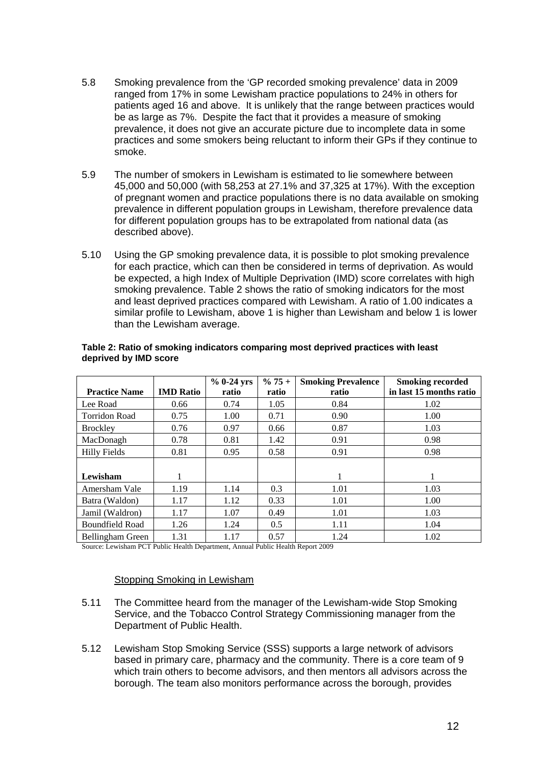- 5.8 Smoking prevalence from the 'GP recorded smoking prevalence' data in 2009 ranged from 17% in some Lewisham practice populations to 24% in others for patients aged 16 and above. It is unlikely that the range between practices would be as large as 7%. Despite the fact that it provides a measure of smoking prevalence, it does not give an accurate picture due to incomplete data in some practices and some smokers being reluctant to inform their GPs if they continue to smoke.
- 5.9 The number of smokers in Lewisham is estimated to lie somewhere between 45,000 and 50,000 (with 58,253 at 27.1% and 37,325 at 17%). With the exception of pregnant women and practice populations there is no data available on smoking prevalence in different population groups in Lewisham, therefore prevalence data for different population groups has to be extrapolated from national data (as described above).
- 5.10 Using the GP smoking prevalence data, it is possible to plot smoking prevalence for each practice, which can then be considered in terms of deprivation. As would be expected, a high Index of Multiple Deprivation (IMD) score correlates with high smoking prevalence. Table 2 shows the ratio of smoking indicators for the most and least deprived practices compared with Lewisham. A ratio of 1.00 indicates a similar profile to Lewisham, above 1 is higher than Lewisham and below 1 is lower than the Lewisham average.

|                        |                  | $% 0-24$ yrs | $% 75 +$ | <b>Smoking Prevalence</b> | <b>Smoking recorded</b> |
|------------------------|------------------|--------------|----------|---------------------------|-------------------------|
| <b>Practice Name</b>   | <b>IMD Ratio</b> | ratio        | ratio    | ratio                     | in last 15 months ratio |
| Lee Road               | 0.66             | 0.74         | 1.05     | 0.84                      | 1.02                    |
| <b>Torridon Road</b>   | 0.75             | 1.00         | 0.71     | 0.90                      | 1.00                    |
| <b>Brockley</b>        | 0.76             | 0.97         | 0.66     | 0.87                      | 1.03                    |
| MacDonagh              | 0.78             | 0.81         | 1.42     | 0.91                      | 0.98                    |
| <b>Hilly Fields</b>    | 0.81             | 0.95         | 0.58     | 0.91                      | 0.98                    |
|                        |                  |              |          |                           |                         |
| Lewisham               |                  |              |          |                           | 1                       |
| Amersham Vale          | 1.19             | 1.14         | 0.3      | 1.01                      | 1.03                    |
| Batra (Waldon)         | 1.17             | 1.12         | 0.33     | 1.01                      | 1.00                    |
| Jamil (Waldron)        | 1.17             | 1.07         | 0.49     | 1.01                      | 1.03                    |
| <b>Boundfield Road</b> | 1.26             | 1.24         | 0.5      | 1.11                      | 1.04                    |
| Bellingham Green       | 1.31             | 1.17         | 0.57     | 1.24                      | 1.02                    |

#### **Table 2: Ratio of smoking indicators comparing most deprived practices with least deprived by IMD score**

Source: Lewisham PCT Public Health Department, Annual Public Health Report 2009

#### Stopping Smoking in Lewisham

- 5.11 The Committee heard from the manager of the Lewisham-wide Stop Smoking Service, and the Tobacco Control Strategy Commissioning manager from the Department of Public Health.
- 5.12 Lewisham Stop Smoking Service (SSS) supports a large network of advisors based in primary care, pharmacy and the community. There is a core team of 9 which train others to become advisors, and then mentors all advisors across the borough. The team also monitors performance across the borough, provides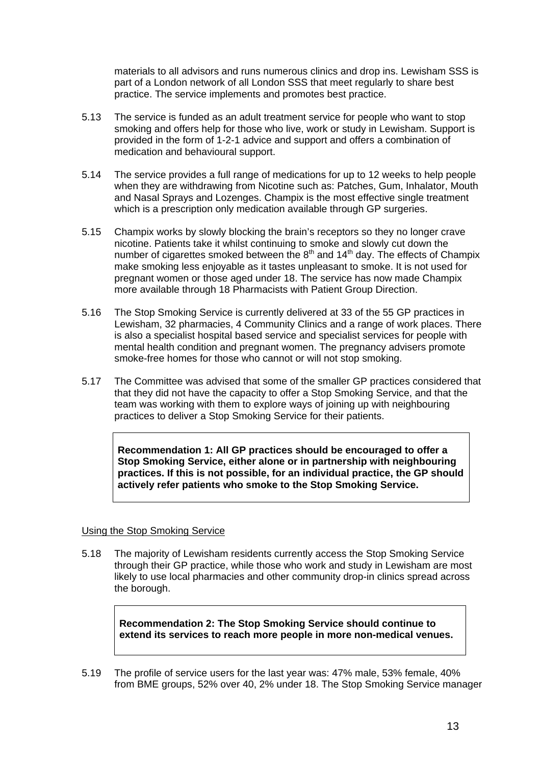materials to all advisors and runs numerous clinics and drop ins. Lewisham SSS is part of a London network of all London SSS that meet regularly to share best practice. The service implements and promotes best practice.

- 5.13 The service is funded as an adult treatment service for people who want to stop smoking and offers help for those who live, work or study in Lewisham. Support is provided in the form of 1-2-1 advice and support and offers a combination of medication and behavioural support.
- 5.14 The service provides a full range of medications for up to 12 weeks to help people when they are withdrawing from Nicotine such as: Patches, Gum, Inhalator, Mouth and Nasal Sprays and Lozenges. Champix is the most effective single treatment which is a prescription only medication available through GP surgeries.
- 5.15 Champix works by slowly blocking the brain's receptors so they no longer crave nicotine. Patients take it whilst continuing to smoke and slowly cut down the number of cigarettes smoked between the  $8<sup>th</sup>$  and 14<sup>th</sup> day. The effects of Champix make smoking less enjoyable as it tastes unpleasant to smoke. It is not used for pregnant women or those aged under 18. The service has now made Champix more available through 18 Pharmacists with Patient Group Direction.
- 5.16 The Stop Smoking Service is currently delivered at 33 of the 55 GP practices in Lewisham, 32 pharmacies, 4 Community Clinics and a range of work places. There is also a specialist hospital based service and specialist services for people with mental health condition and pregnant women. The pregnancy advisers promote smoke-free homes for those who cannot or will not stop smoking.
- 5.17 The Committee was advised that some of the smaller GP practices considered that that they did not have the capacity to offer a Stop Smoking Service, and that the team was working with them to explore ways of joining up with neighbouring practices to deliver a Stop Smoking Service for their patients.

**Recommendation 1: All GP practices should be encouraged to offer a Stop Smoking Service, either alone or in partnership with neighbouring practices. If this is not possible, for an individual practice, the GP should actively refer patients who smoke to the Stop Smoking Service.** 

#### Using the Stop Smoking Service

5.18 The majority of Lewisham residents currently access the Stop Smoking Service through their GP practice, while those who work and study in Lewisham are most likely to use local pharmacies and other community drop-in clinics spread across the borough.

**Recommendation 2: The Stop Smoking Service should continue to extend its services to reach more people in more non-medical venues.** 

5.19 The profile of service users for the last year was: 47% male, 53% female, 40% from BME groups, 52% over 40, 2% under 18. The Stop Smoking Service manager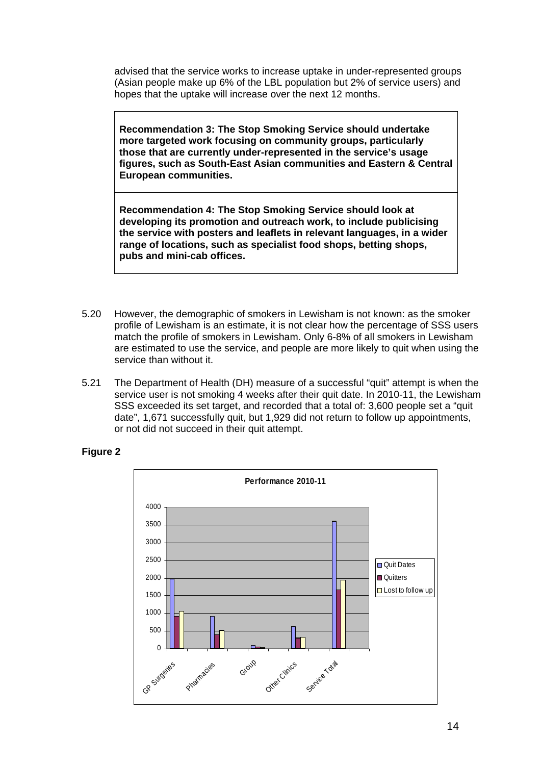advised that the service works to increase uptake in under-represented groups (Asian people make up 6% of the LBL population but 2% of service users) and hopes that the uptake will increase over the next 12 months.

**Recommendation 3: The Stop Smoking Service should undertake more targeted work focusing on community groups, particularly those that are currently under-represented in the service's usage figures, such as South-East Asian communities and Eastern & Central European communities.** 

**Recommendation 4: The Stop Smoking Service should look at developing its promotion and outreach work, to include publicising the service with posters and leaflets in relevant languages, in a wider range of locations, such as specialist food shops, betting shops, pubs and mini-cab offices.** 

- 5.20 However, the demographic of smokers in Lewisham is not known: as the smoker profile of Lewisham is an estimate, it is not clear how the percentage of SSS users match the profile of smokers in Lewisham. Only 6-8% of all smokers in Lewisham are estimated to use the service, and people are more likely to quit when using the service than without it.
- 5.21 The Department of Health (DH) measure of a successful "quit" attempt is when the service user is not smoking 4 weeks after their quit date. In 2010-11, the Lewisham SSS exceeded its set target, and recorded that a total of: 3,600 people set a "quit date", 1,671 successfully quit, but 1,929 did not return to follow up appointments, or not did not succeed in their quit attempt.



#### **Figure 2**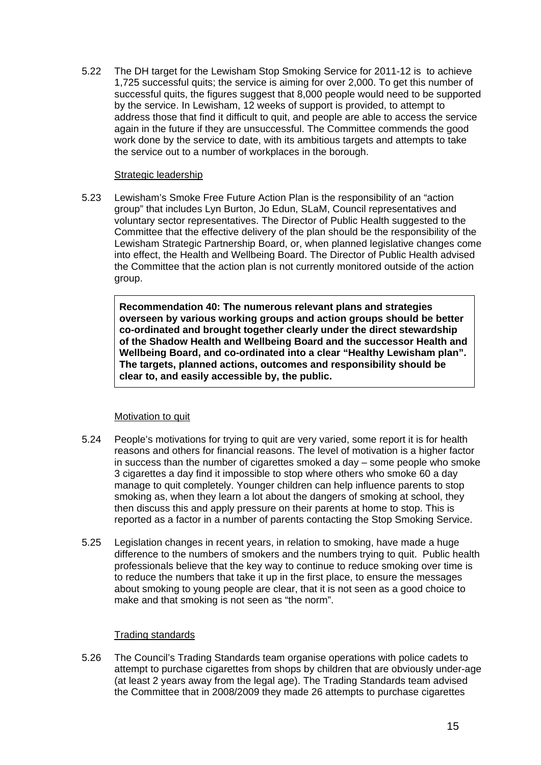5.22 The DH target for the Lewisham Stop Smoking Service for 2011-12 is to achieve 1,725 successful quits; the service is aiming for over 2,000. To get this number of successful quits, the figures suggest that 8,000 people would need to be supported by the service. In Lewisham, 12 weeks of support is provided, to attempt to address those that find it difficult to quit, and people are able to access the service again in the future if they are unsuccessful. The Committee commends the good work done by the service to date, with its ambitious targets and attempts to take the service out to a number of workplaces in the borough.

#### Strategic leadership

5.23 Lewisham's Smoke Free Future Action Plan is the responsibility of an "action group" that includes Lyn Burton, Jo Edun, SLaM, Council representatives and voluntary sector representatives. The Director of Public Health suggested to the Committee that the effective delivery of the plan should be the responsibility of the Lewisham Strategic Partnership Board, or, when planned legislative changes come into effect, the Health and Wellbeing Board. The Director of Public Health advised the Committee that the action plan is not currently monitored outside of the action group.

**Recommendation 40: The numerous relevant plans and strategies overseen by various working groups and action groups should be better co-ordinated and brought together clearly under the direct stewardship of the Shadow Health and Wellbeing Board and the successor Health and Wellbeing Board, and co-ordinated into a clear "Healthy Lewisham plan". The targets, planned actions, outcomes and responsibility should be clear to, and easily accessible by, the public.** 

#### Motivation to quit

- 5.24 People's motivations for trying to quit are very varied, some report it is for health reasons and others for financial reasons. The level of motivation is a higher factor in success than the number of cigarettes smoked a day – some people who smoke 3 cigarettes a day find it impossible to stop where others who smoke 60 a day manage to quit completely. Younger children can help influence parents to stop smoking as, when they learn a lot about the dangers of smoking at school, they then discuss this and apply pressure on their parents at home to stop. This is reported as a factor in a number of parents contacting the Stop Smoking Service.
- 5.25 Legislation changes in recent years, in relation to smoking, have made a huge difference to the numbers of smokers and the numbers trying to quit. Public health professionals believe that the key way to continue to reduce smoking over time is to reduce the numbers that take it up in the first place, to ensure the messages about smoking to young people are clear, that it is not seen as a good choice to make and that smoking is not seen as "the norm".

#### Trading standards

5.26 The Council's Trading Standards team organise operations with police cadets to attempt to purchase cigarettes from shops by children that are obviously under-age (at least 2 years away from the legal age). The Trading Standards team advised the Committee that in 2008/2009 they made 26 attempts to purchase cigarettes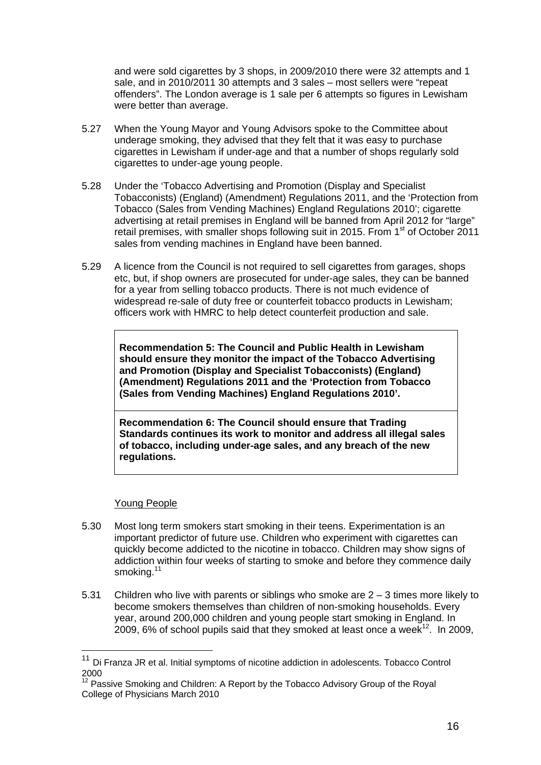and were sold cigarettes by 3 shops, in 2009/2010 there were 32 attempts and 1 sale, and in 2010/2011 30 attempts and 3 sales – most sellers were "repeat offenders". The London average is 1 sale per 6 attempts so figures in Lewisham were better than average.

- 5.27 When the Young Mayor and Young Advisors spoke to the Committee about underage smoking, they advised that they felt that it was easy to purchase cigarettes in Lewisham if under-age and that a number of shops regularly sold cigarettes to under-age young people.
- 5.28 Under the 'Tobacco Advertising and Promotion (Display and Specialist Tobacconists) (England) (Amendment) Regulations 2011, and the 'Protection from Tobacco (Sales from Vending Machines) England Regulations 2010'; cigarette advertising at retail premises in England will be banned from April 2012 for "large" retail premises, with smaller shops following suit in 2015. From 1<sup>st</sup> of October 2011 sales from vending machines in England have been banned.
- 5.29 A licence from the Council is not required to sell cigarettes from garages, shops etc, but, if shop owners are prosecuted for under-age sales, they can be banned for a year from selling tobacco products. There is not much evidence of widespread re-sale of duty free or counterfeit tobacco products in Lewisham; officers work with HMRC to help detect counterfeit production and sale.

**Recommendation 5: The Council and Public Health in Lewisham should ensure they monitor the impact of the Tobacco Advertising and Promotion (Display and Specialist Tobacconists) (England) (Amendment) Regulations 2011 and the 'Protection from Tobacco (Sales from Vending Machines) England Regulations 2010'.** 

**Recommendation 6: The Council should ensure that Trading Standards continues its work to monitor and address all illegal sales of tobacco, including under-age sales, and any breach of the new regulations.** 

#### Young People

1

- 5.30 Most long term smokers start smoking in their teens. Experimentation is an important predictor of future use. Children who experiment with cigarettes can quickly become addicted to the nicotine in tobacco. Children may show signs of addiction within four weeks of starting to smoke and before they commence daily smoking.<sup>11</sup>
- 5.31 Children who live with parents or siblings who smoke are 2 3 times more likely to become smokers themselves than children of non-smoking households. Every year, around 200,000 children and young people start smoking in England. In 2009, 6% of school pupils said that they smoked at least once a week<sup>12</sup>. In 2009,

<sup>&</sup>lt;sup>11</sup> Di Franza JR et al. Initial symptoms of nicotine addiction in adolescents. Tobacco Control 2000

<sup>&</sup>lt;sup>12</sup> Passive Smoking and Children: A Report by the Tobacco Advisory Group of the Royal College of Physicians March 2010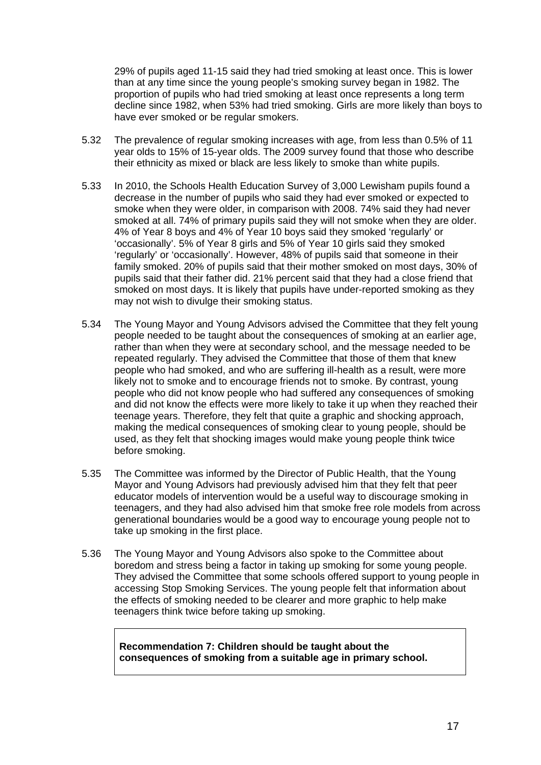29% of pupils aged 11-15 said they had tried smoking at least once. This is lower than at any time since the young people's smoking survey began in 1982. The proportion of pupils who had tried smoking at least once represents a long term decline since 1982, when 53% had tried smoking. Girls are more likely than boys to have ever smoked or be regular smokers.

- 5.32 The prevalence of regular smoking increases with age, from less than 0.5% of 11 year olds to 15% of 15-year olds. The 2009 survey found that those who describe their ethnicity as mixed or black are less likely to smoke than white pupils.
- 5.33 In 2010, the Schools Health Education Survey of 3,000 Lewisham pupils found a decrease in the number of pupils who said they had ever smoked or expected to smoke when they were older, in comparison with 2008. 74% said they had never smoked at all. 74% of primary pupils said they will not smoke when they are older. 4% of Year 8 boys and 4% of Year 10 boys said they smoked 'regularly' or 'occasionally'. 5% of Year 8 girls and 5% of Year 10 girls said they smoked 'regularly' or 'occasionally'. However, 48% of pupils said that someone in their family smoked. 20% of pupils said that their mother smoked on most days, 30% of pupils said that their father did. 21% percent said that they had a close friend that smoked on most days. It is likely that pupils have under-reported smoking as they may not wish to divulge their smoking status.
- 5.34 The Young Mayor and Young Advisors advised the Committee that they felt young people needed to be taught about the consequences of smoking at an earlier age, rather than when they were at secondary school, and the message needed to be repeated regularly. They advised the Committee that those of them that knew people who had smoked, and who are suffering ill-health as a result, were more likely not to smoke and to encourage friends not to smoke. By contrast, young people who did not know people who had suffered any consequences of smoking and did not know the effects were more likely to take it up when they reached their teenage years. Therefore, they felt that quite a graphic and shocking approach, making the medical consequences of smoking clear to young people, should be used, as they felt that shocking images would make young people think twice before smoking.
- 5.35 The Committee was informed by the Director of Public Health, that the Young Mayor and Young Advisors had previously advised him that they felt that peer educator models of intervention would be a useful way to discourage smoking in teenagers, and they had also advised him that smoke free role models from across generational boundaries would be a good way to encourage young people not to take up smoking in the first place.
- 5.36 The Young Mayor and Young Advisors also spoke to the Committee about boredom and stress being a factor in taking up smoking for some young people. They advised the Committee that some schools offered support to young people in accessing Stop Smoking Services. The young people felt that information about the effects of smoking needed to be clearer and more graphic to help make teenagers think twice before taking up smoking.

**Recommendation 7: Children should be taught about the consequences of smoking from a suitable age in primary school.**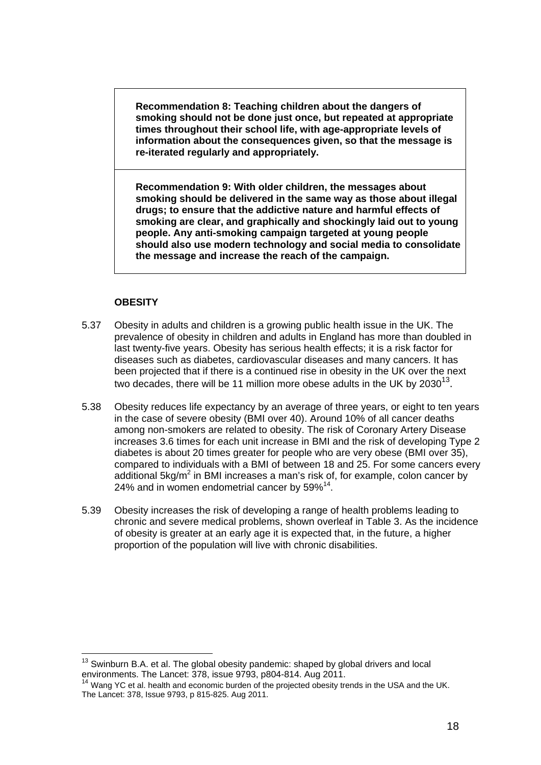**Recommendation 8: Teaching children about the dangers of smoking should not be done just once, but repeated at appropriate times throughout their school life, with age-appropriate levels of information about the consequences given, so that the message is re-iterated regularly and appropriately.** 

**Recommendation 9: With older children, the messages about smoking should be delivered in the same way as those about illegal drugs; to ensure that the addictive nature and harmful effects of smoking are clear, and graphically and shockingly laid out to young people. Any anti-smoking campaign targeted at young people should also use modern technology and social media to consolidate the message and increase the reach of the campaign.** 

#### **OBESITY**

1

- 5.37 Obesity in adults and children is a growing public health issue in the UK. The prevalence of obesity in children and adults in England has more than doubled in last twenty-five years. Obesity has serious health effects; it is a risk factor for diseases such as diabetes, cardiovascular diseases and many cancers. It has been projected that if there is a continued rise in obesity in the UK over the next two decades, there will be 11 million more obese adults in the UK by  $2030^{13}$ .
- 5.38 Obesity reduces life expectancy by an average of three years, or eight to ten years in the case of severe obesity (BMI over 40). Around 10% of all cancer deaths among non-smokers are related to obesity. The risk of Coronary Artery Disease increases 3.6 times for each unit increase in BMI and the risk of developing Type 2 diabetes is about 20 times greater for people who are very obese (BMI over 35), compared to individuals with a BMI of between 18 and 25. For some cancers every additional 5kg/m<sup>2</sup> in BMI increases a man's risk of, for example, colon cancer by 24% and in women endometrial cancer by  $59\%^{14}$ .
- 5.39 Obesity increases the risk of developing a range of health problems leading to chronic and severe medical problems, shown overleaf in Table 3. As the incidence of obesity is greater at an early age it is expected that, in the future, a higher proportion of the population will live with chronic disabilities.

 $13$  Swinburn B.A. et al. The global obesity pandemic: shaped by global drivers and local environments. The Lancet: 378, issue 9793, p804-814. Aug 2011.

Wang YC et al. health and economic burden of the projected obesity trends in the USA and the UK. The Lancet: 378, Issue 9793, p 815-825. Aug 2011.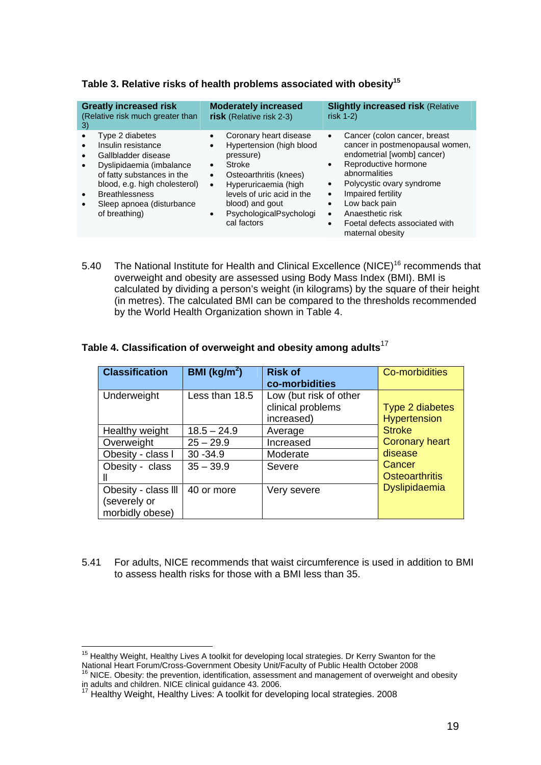| <b>Greatly increased risk</b><br>(Relative risk much greater than<br>3)                                                                                                                                                        | <b>Moderately increased</b><br>risk (Relative risk 2-3)                                                                                                                                                                             | <b>Slightly increased risk (Relative</b><br>risk $1-2$                                                                                                                                                                                                                                                                                                                          |
|--------------------------------------------------------------------------------------------------------------------------------------------------------------------------------------------------------------------------------|-------------------------------------------------------------------------------------------------------------------------------------------------------------------------------------------------------------------------------------|---------------------------------------------------------------------------------------------------------------------------------------------------------------------------------------------------------------------------------------------------------------------------------------------------------------------------------------------------------------------------------|
| Type 2 diabetes<br>Insulin resistance<br>Gallbladder disease<br>Dyslipidaemia (imbalance<br>of fatty substances in the<br>blood, e.g. high cholesterol)<br><b>Breathlessness</b><br>Sleep apnoea (disturbance<br>of breathing) | Coronary heart disease<br>Hypertension (high blood<br>pressure)<br>Stroke<br>Osteoarthritis (knees)<br>$\bullet$<br>Hyperuricaemia (high<br>levels of uric acid in the<br>blood) and gout<br>PsychologicalPsychologi<br>cal factors | Cancer (colon cancer, breast<br>$\bullet$<br>cancer in postmenopausal women,<br>endometrial [womb] cancer)<br>Reproductive hormone<br>$\bullet$<br>abnormalities<br>Polycystic ovary syndrome<br>$\bullet$<br>Impaired fertility<br>$\bullet$<br>Low back pain<br>$\bullet$<br>Anaesthetic risk<br>$\bullet$<br>Foetal defects associated with<br>$\bullet$<br>maternal obesity |

#### **Table 3. Relative risks of health problems associated with obesity15**

5.40 The National Institute for Health and Clinical Excellence (NICE)<sup>16</sup> recommends that overweight and obesity are assessed using Body Mass Index (BMI). BMI is calculated by dividing a person's weight (in kilograms) by the square of their height (in metres). The calculated BMI can be compared to the thresholds recommended by the World Health Organization shown in Table 4.

#### **Table 4. Classification of overweight and obesity among adults**<sup>17</sup>

| <b>Classification</b>                                  | BMI ( $\text{kg/m}^2$ ) | <b>Risk of</b><br>co-morbidities                          | <b>Co-morbidities</b>                  |
|--------------------------------------------------------|-------------------------|-----------------------------------------------------------|----------------------------------------|
| Underweight                                            | Less than 18.5          | Low (but risk of other<br>clinical problems<br>increased) | Type 2 diabetes<br><b>Hypertension</b> |
| Healthy weight                                         | $18.5 - 24.9$           | Average                                                   | <b>Stroke</b>                          |
| Overweight                                             | $25 - 29.9$             | Increased                                                 | <b>Coronary heart</b>                  |
| Obesity - class I                                      | $30 - 34.9$             | Moderate                                                  | disease                                |
| Obesity - class                                        | $35 - 39.9$             | Severe                                                    | Cancer<br><b>Osteoarthritis</b>        |
| Obesity - class III<br>(severely or<br>morbidly obese) | 40 or more              | Very severe                                               | <b>Dyslipidaemia</b>                   |

5.41 For adults, NICE recommends that waist circumference is used in addition to BMI to assess health risks for those with a BMI less than 35.

<sup>1</sup> <sup>15</sup> Healthy Weight, Healthy Lives A toolkit for developing local strategies. Dr Kerry Swanton for the National Heart Forum/Cross-Government Obesity Unit/Faculty of Public Health October 2008<br><sup>16</sup> NICE. Obesity: the prevention, identification, assessment and management of overweight and obesity

in adults and children. NICE clinical guidance 43. 2006.

 $17$  Healthy Weight, Healthy Lives: A toolkit for developing local strategies. 2008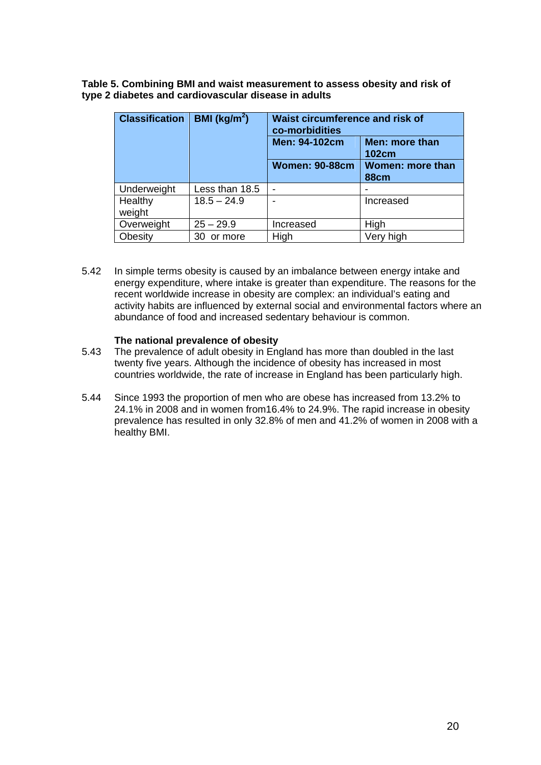**Table 5. Combining BMI and waist measurement to assess obesity and risk of type 2 diabetes and cardiovascular disease in adults** 

| <b>Classification</b> | <b>BMI</b> ( $\text{kg/m}^2$ ) | <b>Waist circumference and risk of</b><br>co-morbidities |                                 |
|-----------------------|--------------------------------|----------------------------------------------------------|---------------------------------|
|                       |                                | Men: 94-102cm                                            | Men: more than<br><b>102cm</b>  |
|                       |                                | <b>Women: 90-88cm</b>                                    | Women: more than<br><b>88cm</b> |
| Underweight           | Less than 18.5                 | -                                                        |                                 |
| Healthy<br>weight     | $18.5 - 24.9$                  |                                                          | Increased                       |
| Overweight            | $25 - 29.9$                    | Increased                                                | High                            |
| Obesity               | 30<br>or more                  | High                                                     | Very high                       |

5.42 In simple terms obesity is caused by an imbalance between energy intake and energy expenditure, where intake is greater than expenditure. The reasons for the recent worldwide increase in obesity are complex: an individual's eating and activity habits are influenced by external social and environmental factors where an abundance of food and increased sedentary behaviour is common.

#### **The national prevalence of obesity**

- 5.43 The prevalence of adult obesity in England has more than doubled in the last twenty five years. Although the incidence of obesity has increased in most countries worldwide, the rate of increase in England has been particularly high.
- 5.44 Since 1993 the proportion of men who are obese has increased from 13.2% to 24.1% in 2008 and in women from16.4% to 24.9%. The rapid increase in obesity prevalence has resulted in only 32.8% of men and 41.2% of women in 2008 with a healthy BMI.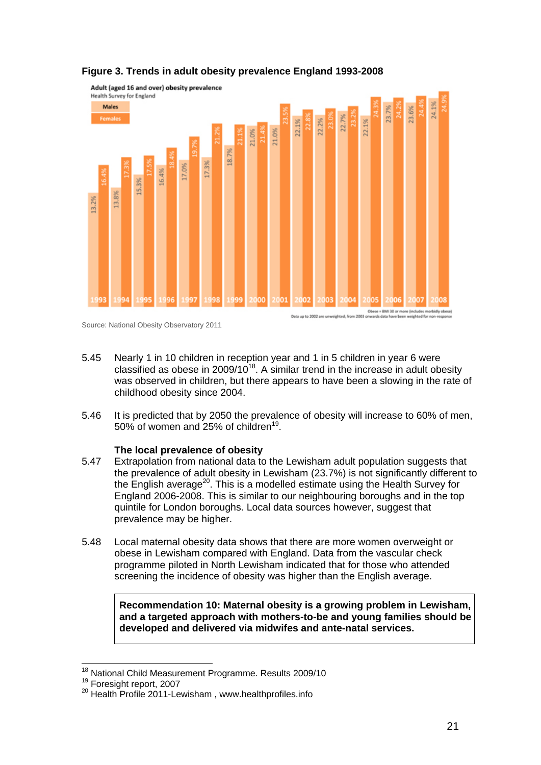

#### **Figure 3. Trends in adult obesity prevalence England 1993-2008**

- 5.45 Nearly 1 in 10 children in reception year and 1 in 5 children in year 6 were classified as obese in  $2009/10^{18}$ . A similar trend in the increase in adult obesity was observed in children, but there appears to have been a slowing in the rate of childhood obesity since 2004.
- 5.46 It is predicted that by 2050 the prevalence of obesity will increase to 60% of men, 50% of women and 25% of children<sup>19</sup>.

#### **The local prevalence of obesity**

- 5.47 Extrapolation from national data to the Lewisham adult population suggests that the prevalence of adult obesity in Lewisham (23.7%) is not significantly different to the English average<sup>20</sup>. This is a modelled estimate using the Health Survey for England 2006-2008. This is similar to our neighbouring boroughs and in the top quintile for London boroughs. Local data sources however, suggest that prevalence may be higher.
- 5.48 Local maternal obesity data shows that there are more women overweight or obese in Lewisham compared with England. Data from the vascular check programme piloted in North Lewisham indicated that for those who attended screening the incidence of obesity was higher than the English average.

**Recommendation 10: Maternal obesity is a growing problem in Lewisham, and a targeted approach with mothers-to-be and young families should be developed and delivered via midwifes and ante-natal services.** 

Source: National Obesity Observatory 2011

<sup>&</sup>lt;sup>18</sup> National Child Measurement Programme. Results 2009/10

<sup>&</sup>lt;sup>19</sup> Foresight report, 2007<br><sup>20</sup> Health Profile 2011-Lewisham , www.healthprofiles.info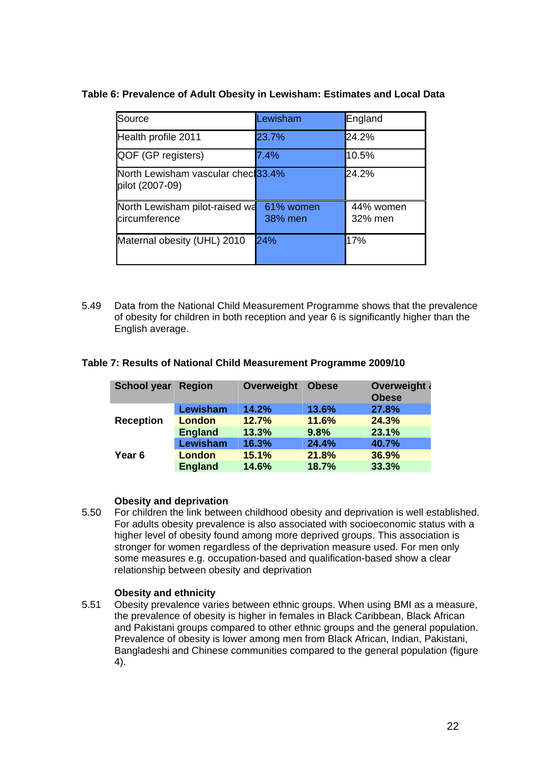| Source                                                | Lewisham             | England              |
|-------------------------------------------------------|----------------------|----------------------|
| Health profile 2011                                   | 23.7%                | 24.2%                |
| QOF (GP registers)                                    | 7.4%                 | 10.5%                |
| North Lewisham vascular checl33.4%<br>pilot (2007-09) |                      | 24.2%                |
| North Lewisham pilot-raised wa<br>circumference       | 61% women<br>38% men | 44% women<br>32% men |
| Maternal obesity (UHL) 2010                           | 24%                  | 17%                  |

#### **Table 6: Prevalence of Adult Obesity in Lewisham: Estimates and Local Data**

5.49 Data from the National Child Measurement Programme shows that the prevalence of obesity for children in both reception and year 6 is significantly higher than the English average.

| <b>School year Region</b> |                 | Overweight | <b>Obese</b> | Overweight &<br><b>Obese</b> |
|---------------------------|-----------------|------------|--------------|------------------------------|
|                           | Lewisham        | 14.2%      | 13.6%        | 27.8%                        |
| <b>Reception</b>          | <b>London</b>   | 12.7%      | 11.6%        | 24.3%                        |
|                           | <b>England</b>  | 13.3%      | 9.8%         | 23.1%                        |
|                           | <b>Lewisham</b> | 16.3%      | 24.4%        | 40.7%                        |
| Year <sub>6</sub>         | <b>London</b>   | 15.1%      | 21.8%        | 36.9%                        |
|                           | <b>England</b>  | 14.6%      | 18.7%        | 33.3%                        |

#### **Table 7: Results of National Child Measurement Programme 2009/10**

#### **Obesity and deprivation**

5.50 For children the link between childhood obesity and deprivation is well established. For adults obesity prevalence is also associated with socioeconomic status with a higher level of obesity found among more deprived groups. This association is stronger for women regardless of the deprivation measure used. For men only some measures e.g. occupation-based and qualification-based show a clear relationship between obesity and deprivation

#### **Obesity and ethnicity**

5.51 Obesity prevalence varies between ethnic groups. When using BMI as a measure, the prevalence of obesity is higher in females in Black Caribbean, Black African and Pakistani groups compared to other ethnic groups and the general population. Prevalence of obesity is lower among men from Black African, Indian, Pakistani, Bangladeshi and Chinese communities compared to the general population (figure 4).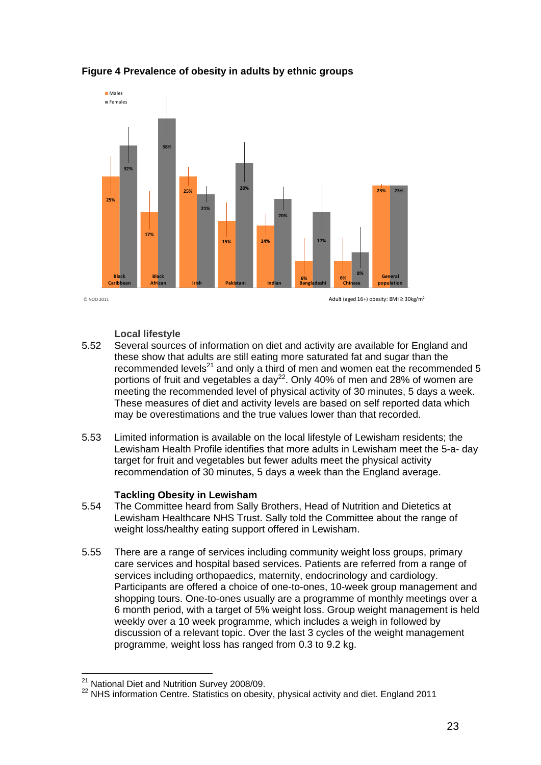

#### **Figure 4 Prevalence of obesity in adults by ethnic groups**

 $\odot$  NOO 2011  $\odot$  NOO 2011 **Adult (aged 16+)** obesity: BMI ≥ 30kg/m<sup>2</sup>

#### **Local lifestyle**

- 5.52 Several sources of information on diet and activity are available for England and these show that adults are still eating more saturated fat and sugar than the recommended levels $^{21}$  and only a third of men and women eat the recommended 5 portions of fruit and vegetables a day<sup>22</sup>. Only 40% of men and 28% of women are meeting the recommended level of physical activity of 30 minutes, 5 days a week. These measures of diet and activity levels are based on self reported data which may be overestimations and the true values lower than that recorded.
- 5.53 Limited information is available on the local lifestyle of Lewisham residents; the Lewisham Health Profile identifies that more adults in Lewisham meet the 5-a- day target for fruit and vegetables but fewer adults meet the physical activity recommendation of 30 minutes, 5 days a week than the England average.

#### **Tackling Obesity in Lewisham**

- 5.54 The Committee heard from Sally Brothers, Head of Nutrition and Dietetics at Lewisham Healthcare NHS Trust. Sally told the Committee about the range of weight loss/healthy eating support offered in Lewisham.
- 5.55 There are a range of services including community weight loss groups, primary care services and hospital based services. Patients are referred from a range of services including orthopaedics, maternity, endocrinology and cardiology. Participants are offered a choice of one-to-ones, 10-week group management and shopping tours. One-to-ones usually are a programme of monthly meetings over a 6 month period, with a target of 5% weight loss. Group weight management is held weekly over a 10 week programme, which includes a weigh in followed by discussion of a relevant topic. Over the last 3 cycles of the weight management programme, weight loss has ranged from 0.3 to 9.2 kg.

<sup>&</sup>lt;sup>21</sup> National Diet and Nutrition Survey 2008/09.

<sup>&</sup>lt;sup>22</sup> NHS information Centre. Statistics on obesity, physical activity and diet. England 2011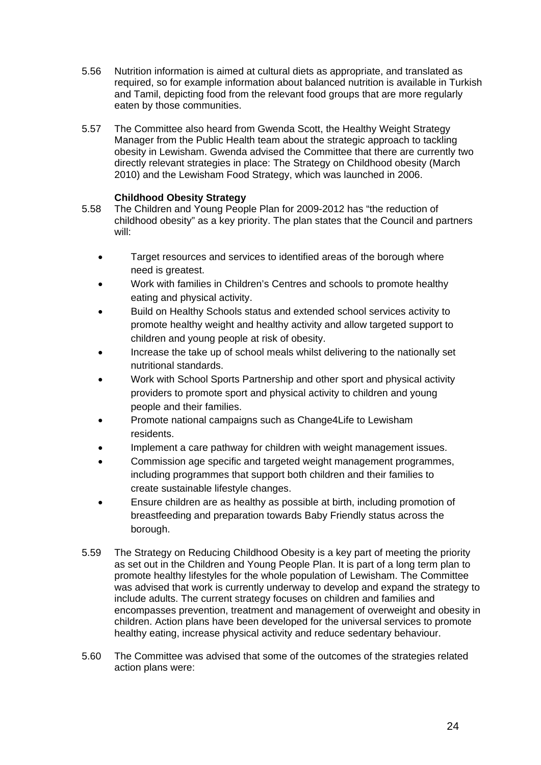- 5.56 Nutrition information is aimed at cultural diets as appropriate, and translated as required, so for example information about balanced nutrition is available in Turkish and Tamil, depicting food from the relevant food groups that are more regularly eaten by those communities.
- 5.57 The Committee also heard from Gwenda Scott, the Healthy Weight Strategy Manager from the Public Health team about the strategic approach to tackling obesity in Lewisham. Gwenda advised the Committee that there are currently two directly relevant strategies in place: The Strategy on Childhood obesity (March 2010) and the Lewisham Food Strategy, which was launched in 2006.

#### **Childhood Obesity Strategy**

- 5.58 The Children and Young People Plan for 2009-2012 has "the reduction of childhood obesity" as a key priority. The plan states that the Council and partners will:
	- Target resources and services to identified areas of the borough where need is greatest.
	- Work with families in Children's Centres and schools to promote healthy eating and physical activity.
	- Build on Healthy Schools status and extended school services activity to promote healthy weight and healthy activity and allow targeted support to children and young people at risk of obesity.
	- Increase the take up of school meals whilst delivering to the nationally set nutritional standards.
	- Work with School Sports Partnership and other sport and physical activity providers to promote sport and physical activity to children and young people and their families.
	- Promote national campaigns such as Change4Life to Lewisham residents.
	- Implement a care pathway for children with weight management issues.
	- Commission age specific and targeted weight management programmes, including programmes that support both children and their families to create sustainable lifestyle changes.
	- Ensure children are as healthy as possible at birth, including promotion of breastfeeding and preparation towards Baby Friendly status across the borough.
- 5.59 The Strategy on Reducing Childhood Obesity is a key part of meeting the priority as set out in the Children and Young People Plan. It is part of a long term plan to promote healthy lifestyles for the whole population of Lewisham. The Committee was advised that work is currently underway to develop and expand the strategy to include adults. The current strategy focuses on children and families and encompasses prevention, treatment and management of overweight and obesity in children. Action plans have been developed for the universal services to promote healthy eating, increase physical activity and reduce sedentary behaviour.
- 5.60 The Committee was advised that some of the outcomes of the strategies related action plans were: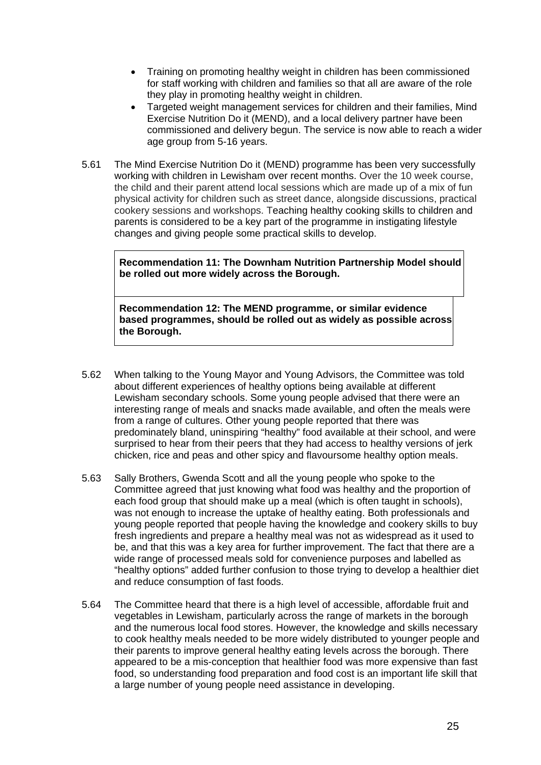- Training on promoting healthy weight in children has been commissioned for staff working with children and families so that all are aware of the role they play in promoting healthy weight in children.
- Targeted weight management services for children and their families, Mind Exercise Nutrition Do it (MEND), and a local delivery partner have been commissioned and delivery begun. The service is now able to reach a wider age group from 5-16 years.
- 5.61 The Mind Exercise Nutrition Do it (MEND) programme has been very successfully working with children in Lewisham over recent months. Over the 10 week course, the child and their parent attend local sessions which are made up of a mix of fun physical activity for children such as street dance, alongside discussions, practical cookery sessions and workshops. Teaching healthy cooking skills to children and parents is considered to be a key part of the programme in instigating lifestyle changes and giving people some practical skills to develop.

**Recommendation 11: The Downham Nutrition Partnership Model should be rolled out more widely across the Borough.** 

**Recommendation 12: The MEND programme, or similar evidence based programmes, should be rolled out as widely as possible across the Borough.** 

- 5.62 When talking to the Young Mayor and Young Advisors, the Committee was told about different experiences of healthy options being available at different Lewisham secondary schools. Some young people advised that there were an interesting range of meals and snacks made available, and often the meals were from a range of cultures. Other young people reported that there was predominately bland, uninspiring "healthy" food available at their school, and were surprised to hear from their peers that they had access to healthy versions of jerk chicken, rice and peas and other spicy and flavoursome healthy option meals.
- 5.63 Sally Brothers, Gwenda Scott and all the young people who spoke to the Committee agreed that just knowing what food was healthy and the proportion of each food group that should make up a meal (which is often taught in schools), was not enough to increase the uptake of healthy eating. Both professionals and young people reported that people having the knowledge and cookery skills to buy fresh ingredients and prepare a healthy meal was not as widespread as it used to be, and that this was a key area for further improvement. The fact that there are a wide range of processed meals sold for convenience purposes and labelled as "healthy options" added further confusion to those trying to develop a healthier diet and reduce consumption of fast foods.
- 5.64 The Committee heard that there is a high level of accessible, affordable fruit and vegetables in Lewisham, particularly across the range of markets in the borough and the numerous local food stores. However, the knowledge and skills necessary to cook healthy meals needed to be more widely distributed to younger people and their parents to improve general healthy eating levels across the borough. There appeared to be a mis-conception that healthier food was more expensive than fast food, so understanding food preparation and food cost is an important life skill that a large number of young people need assistance in developing.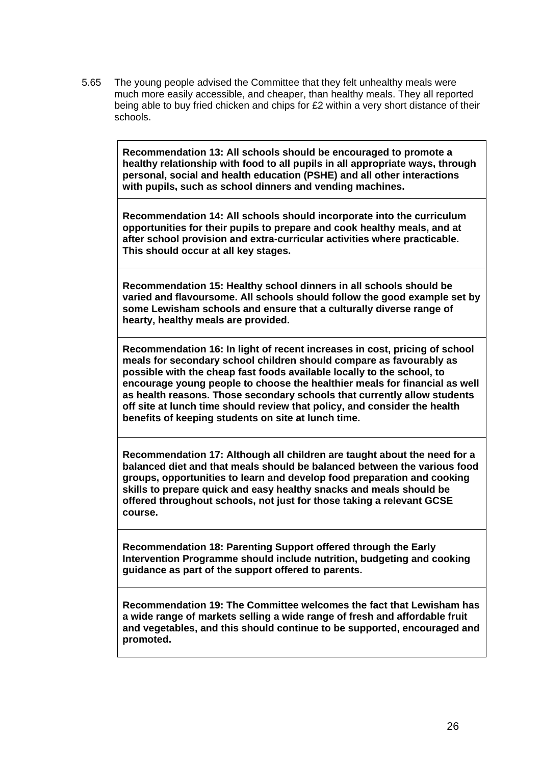5.65 The young people advised the Committee that they felt unhealthy meals were much more easily accessible, and cheaper, than healthy meals. They all reported being able to buy fried chicken and chips for £2 within a very short distance of their schools.

> **Recommendation 13: All schools should be encouraged to promote a healthy relationship with food to all pupils in all appropriate ways, through personal, social and health education (PSHE) and all other interactions with pupils, such as school dinners and vending machines.**

**Recommendation 14: All schools should incorporate into the curriculum opportunities for their pupils to prepare and cook healthy meals, and at after school provision and extra-curricular activities where practicable. This should occur at all key stages.** 

**Recommendation 15: Healthy school dinners in all schools should be varied and flavoursome. All schools should follow the good example set by some Lewisham schools and ensure that a culturally diverse range of hearty, healthy meals are provided.** 

**Recommendation 16: In light of recent increases in cost, pricing of school meals for secondary school children should compare as favourably as possible with the cheap fast foods available locally to the school, to encourage young people to choose the healthier meals for financial as well as health reasons. Those secondary schools that currently allow students off site at lunch time should review that policy, and consider the health benefits of keeping students on site at lunch time.** 

**Recommendation 17: Although all children are taught about the need for a balanced diet and that meals should be balanced between the various food groups, opportunities to learn and develop food preparation and cooking skills to prepare quick and easy healthy snacks and meals should be offered throughout schools, not just for those taking a relevant GCSE course.** 

**Recommendation 18: Parenting Support offered through the Early Intervention Programme should include nutrition, budgeting and cooking guidance as part of the support offered to parents.** 

**Recommendation 19: The Committee welcomes the fact that Lewisham has a wide range of markets selling a wide range of fresh and affordable fruit and vegetables, and this should continue to be supported, encouraged and promoted.**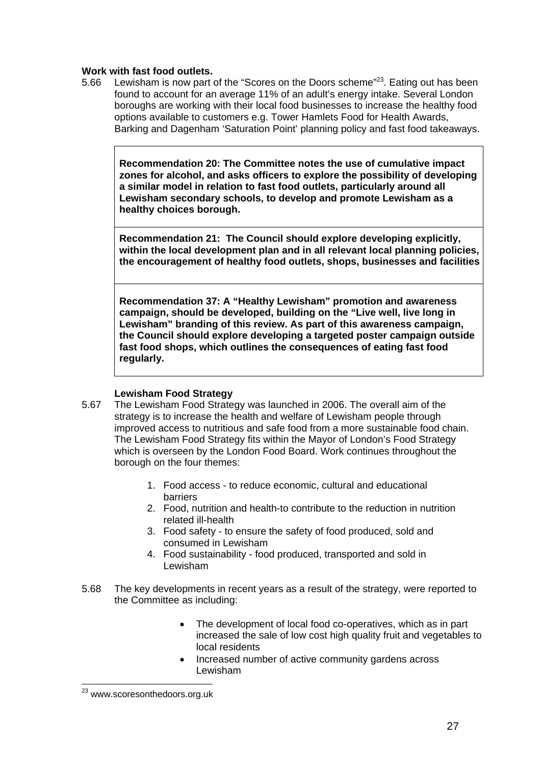#### **Work with fast food outlets.**

5.66 Lewisham is now part of the "Scores on the Doors scheme"<sup>23</sup>. Eating out has been found to account for an average 11% of an adult's energy intake. Several London boroughs are working with their local food businesses to increase the healthy food options available to customers e.g. Tower Hamlets Food for Health Awards, Barking and Dagenham 'Saturation Point' planning policy and fast food takeaways.

**Recommendation 20: The Committee notes the use of cumulative impact zones for alcohol, and asks officers to explore the possibility of developing a similar model in relation to fast food outlets, particularly around all Lewisham secondary schools, to develop and promote Lewisham as a healthy choices borough.** 

**Recommendation 21: The Council should explore developing explicitly, within the local development plan and in all relevant local planning policies, the encouragement of healthy food outlets, shops, businesses and facilities**

**Recommendation 37: A "Healthy Lewisham" promotion and awareness campaign, should be developed, building on the "Live well, live long in Lewisham" branding of this review. As part of this awareness campaign, the Council should explore developing a targeted poster campaign outside fast food shops, which outlines the consequences of eating fast food regularly.** 

#### **Lewisham Food Strategy**

- 5.67 The Lewisham Food Strategy was launched in 2006. The overall aim of the strategy is to increase the health and welfare of Lewisham people through improved access to nutritious and safe food from a more sustainable food chain. The Lewisham Food Strategy fits within the Mayor of London's Food Strategy which is overseen by the London Food Board. Work continues throughout the borough on the four themes:
	- 1. Food access to reduce economic, cultural and educational barriers
	- 2. Food, nutrition and health-to contribute to the reduction in nutrition related ill-health
	- 3. Food safety to ensure the safety of food produced, sold and consumed in Lewisham
	- 4. Food sustainability food produced, transported and sold in Lewisham
- 5.68 The key developments in recent years as a result of the strategy, were reported to the Committee as including:
	- The development of local food co-operatives, which as in part increased the sale of low cost high quality fruit and vegetables to local residents
	- Increased number of active community gardens across Lewisham

1

<sup>&</sup>lt;sup>23</sup> www.scoresonthedoors.org.uk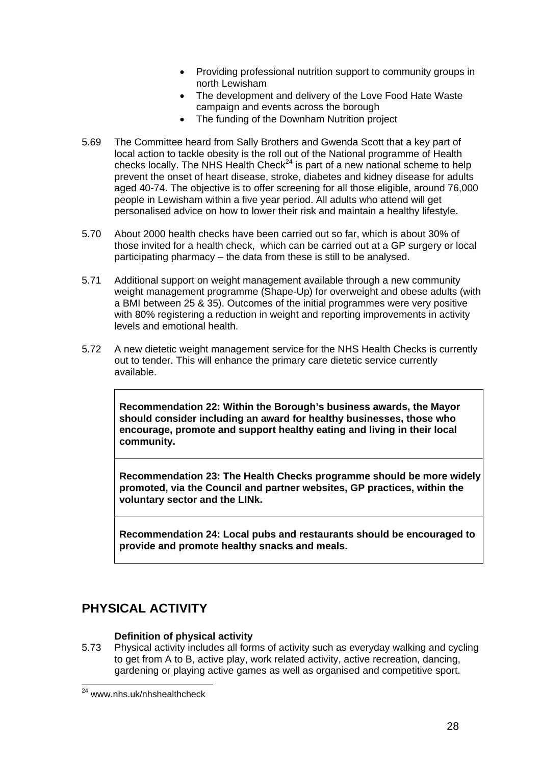- Providing professional nutrition support to community groups in north Lewisham
- The development and delivery of the Love Food Hate Waste campaign and events across the borough
- The funding of the Downham Nutrition project
- 5.69 The Committee heard from Sally Brothers and Gwenda Scott that a key part of local action to tackle obesity is the roll out of the National programme of Health checks locally. The NHS Health Check<sup>24</sup> is part of a new national scheme to help prevent the onset of heart disease, stroke, diabetes and kidney disease for adults aged 40-74. The objective is to offer screening for all those eligible, around 76,000 people in Lewisham within a five year period. All adults who attend will get personalised advice on how to lower their risk and maintain a healthy lifestyle.
- 5.70 About 2000 health checks have been carried out so far, which is about 30% of those invited for a health check, which can be carried out at a GP surgery or local participating pharmacy – the data from these is still to be analysed.
- 5.71 Additional support on weight management available through a new community weight management programme (Shape-Up) for overweight and obese adults (with a BMI between 25 & 35). Outcomes of the initial programmes were very positive with 80% registering a reduction in weight and reporting improvements in activity levels and emotional health.
- 5.72 A new dietetic weight management service for the NHS Health Checks is currently out to tender. This will enhance the primary care dietetic service currently available.

**Recommendation 22: Within the Borough's business awards, the Mayor should consider including an award for healthy businesses, those who encourage, promote and support healthy eating and living in their local community.** 

**Recommendation 23: The Health Checks programme should be more widely promoted, via the Council and partner websites, GP practices, within the voluntary sector and the LINk.** 

**Recommendation 24: Local pubs and restaurants should be encouraged to provide and promote healthy snacks and meals.** 

# **PHYSICAL ACTIVITY**

#### **Definition of physical activity**

5.73 Physical activity includes all forms of activity such as everyday walking and cycling to get from A to B, active play, work related activity, active recreation, dancing, gardening or playing active games as well as organised and competitive sport.

1

<sup>&</sup>lt;sup>24</sup> www.nhs.uk/nhshealthcheck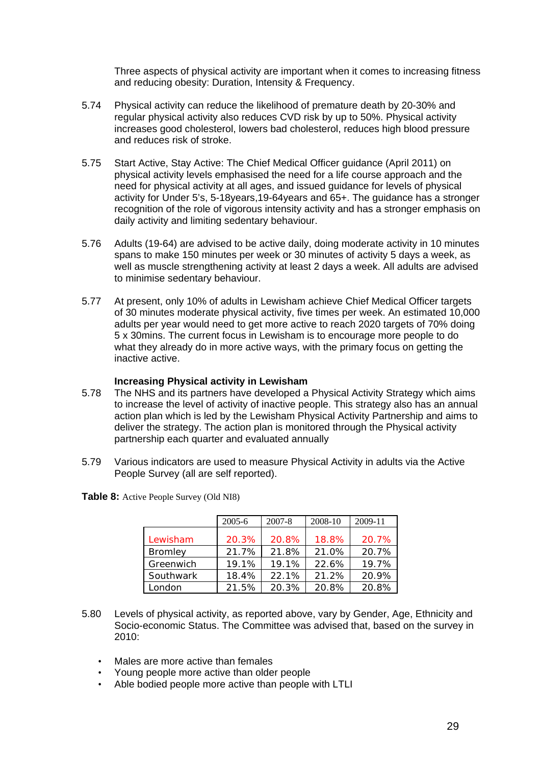Three aspects of physical activity are important when it comes to increasing fitness and reducing obesity: Duration, Intensity & Frequency.

- 5.74 Physical activity can reduce the likelihood of premature death by 20-30% and regular physical activity also reduces CVD risk by up to 50%. Physical activity increases good cholesterol, lowers bad cholesterol, reduces high blood pressure and reduces risk of stroke.
- 5.75 Start Active, Stay Active: The Chief Medical Officer guidance (April 2011) on physical activity levels emphasised the need for a life course approach and the need for physical activity at all ages, and issued guidance for levels of physical activity for Under 5's, 5-18years,19-64years and 65+. The guidance has a stronger recognition of the role of vigorous intensity activity and has a stronger emphasis on daily activity and limiting sedentary behaviour.
- 5.76 Adults (19-64) are advised to be active daily, doing moderate activity in 10 minutes spans to make 150 minutes per week or 30 minutes of activity 5 days a week, as well as muscle strengthening activity at least 2 days a week. All adults are advised to minimise sedentary behaviour.
- 5.77 At present, only 10% of adults in Lewisham achieve Chief Medical Officer targets of 30 minutes moderate physical activity, five times per week. An estimated 10,000 adults per year would need to get more active to reach 2020 targets of 70% doing 5 x 30mins. The current focus in Lewisham is to encourage more people to do what they already do in more active ways, with the primary focus on getting the inactive active.

#### **Increasing Physical activity in Lewisham**

- 5.78 The NHS and its partners have developed a Physical Activity Strategy which aims to increase the level of activity of inactive people. This strategy also has an annual action plan which is led by the Lewisham Physical Activity Partnership and aims to deliver the strategy. The action plan is monitored through the Physical activity partnership each quarter and evaluated annually
- 5.79 Various indicators are used to measure Physical Activity in adults via the Active People Survey (all are self reported).

|                | $2005 - 6$ | $2007 - 8$ | 2008-10 | 2009-11 |
|----------------|------------|------------|---------|---------|
| Lewisham       | 20.3%      | 20.8%      | 18.8%   | 20.7%   |
| <b>Bromley</b> | 21.7%      | 21.8%      | 21.0%   | 20.7%   |
| Greenwich      | 19.1%      | 19.1%      | 22.6%   | 19.7%   |
| Southwark      | 18.4%      | 22.1%      | 21.2%   | 20.9%   |
| London         | 21.5%      | 20.3%      | 20.8%   | 20.8%   |

**Table 8:** Active People Survey (Old NI8)

- 5.80 Levels of physical activity, as reported above, vary by Gender, Age, Ethnicity and Socio-economic Status. The Committee was advised that, based on the survey in 2010:
	- Males are more active than females
	- Young people more active than older people
	- Able bodied people more active than people with LTLI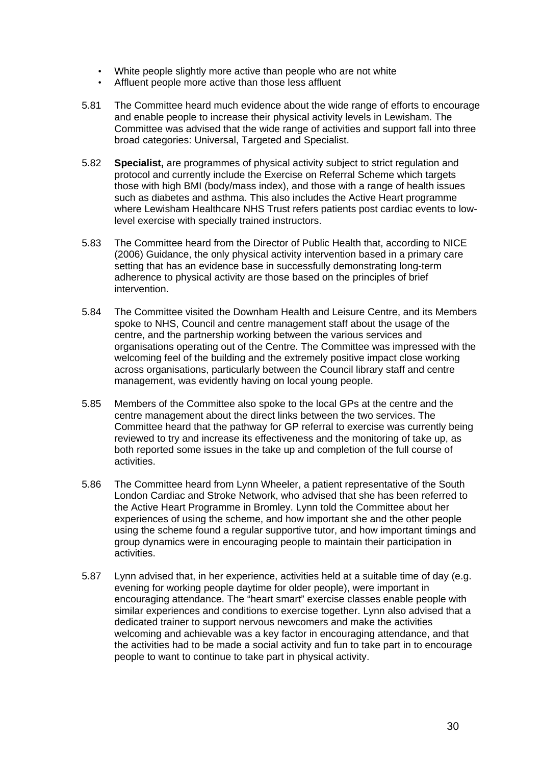- White people slightly more active than people who are not white
- Affluent people more active than those less affluent
- 5.81 The Committee heard much evidence about the wide range of efforts to encourage and enable people to increase their physical activity levels in Lewisham. The Committee was advised that the wide range of activities and support fall into three broad categories: Universal, Targeted and Specialist.
- 5.82 **Specialist,** are programmes of physical activity subject to strict regulation and protocol and currently include the Exercise on Referral Scheme which targets those with high BMI (body/mass index), and those with a range of health issues such as diabetes and asthma. This also includes the Active Heart programme where Lewisham Healthcare NHS Trust refers patients post cardiac events to lowlevel exercise with specially trained instructors.
- 5.83 The Committee heard from the Director of Public Health that, according to NICE (2006) Guidance, the only physical activity intervention based in a primary care setting that has an evidence base in successfully demonstrating long-term adherence to physical activity are those based on the principles of brief intervention.
- 5.84 The Committee visited the Downham Health and Leisure Centre, and its Members spoke to NHS, Council and centre management staff about the usage of the centre, and the partnership working between the various services and organisations operating out of the Centre. The Committee was impressed with the welcoming feel of the building and the extremely positive impact close working across organisations, particularly between the Council library staff and centre management, was evidently having on local young people.
- 5.85 Members of the Committee also spoke to the local GPs at the centre and the centre management about the direct links between the two services. The Committee heard that the pathway for GP referral to exercise was currently being reviewed to try and increase its effectiveness and the monitoring of take up, as both reported some issues in the take up and completion of the full course of activities.
- 5.86 The Committee heard from Lynn Wheeler, a patient representative of the South London Cardiac and Stroke Network, who advised that she has been referred to the Active Heart Programme in Bromley. Lynn told the Committee about her experiences of using the scheme, and how important she and the other people using the scheme found a regular supportive tutor, and how important timings and group dynamics were in encouraging people to maintain their participation in activities.
- 5.87 Lynn advised that, in her experience, activities held at a suitable time of day (e.g. evening for working people daytime for older people), were important in encouraging attendance. The "heart smart" exercise classes enable people with similar experiences and conditions to exercise together. Lynn also advised that a dedicated trainer to support nervous newcomers and make the activities welcoming and achievable was a key factor in encouraging attendance, and that the activities had to be made a social activity and fun to take part in to encourage people to want to continue to take part in physical activity.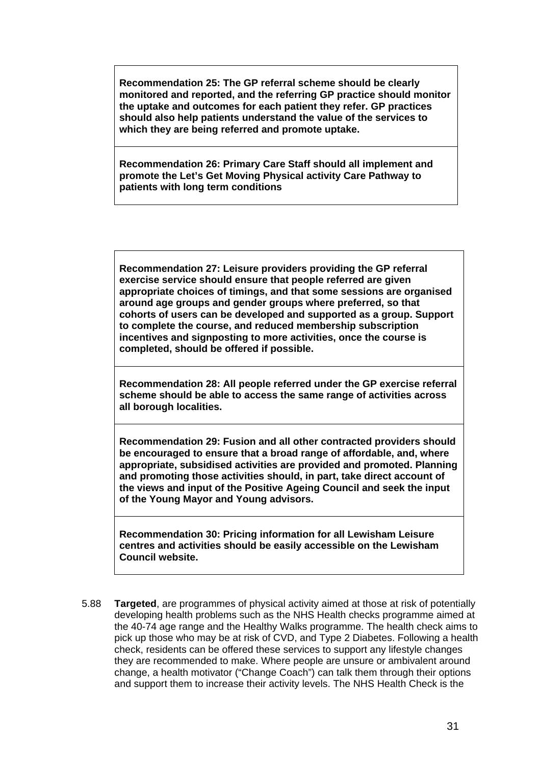**Recommendation 25: The GP referral scheme should be clearly monitored and reported, and the referring GP practice should monitor the uptake and outcomes for each patient they refer. GP practices should also help patients understand the value of the services to which they are being referred and promote uptake.** 

**Recommendation 26: Primary Care Staff should all implement and promote the Let's Get Moving Physical activity Care Pathway to patients with long term conditions** 

**Recommendation 27: Leisure providers providing the GP referral exercise service should ensure that people referred are given appropriate choices of timings, and that some sessions are organised around age groups and gender groups where preferred, so that cohorts of users can be developed and supported as a group. Support to complete the course, and reduced membership subscription incentives and signposting to more activities, once the course is completed, should be offered if possible.** 

**Recommendation 28: All people referred under the GP exercise referral scheme should be able to access the same range of activities across all borough localities.** 

**Recommendation 29: Fusion and all other contracted providers should be encouraged to ensure that a broad range of affordable, and, where appropriate, subsidised activities are provided and promoted. Planning and promoting those activities should, in part, take direct account of the views and input of the Positive Ageing Council and seek the input of the Young Mayor and Young advisors.** 

**Recommendation 30: Pricing information for all Lewisham Leisure centres and activities should be easily accessible on the Lewisham Council website.** 

5.88 **Targeted**, are programmes of physical activity aimed at those at risk of potentially developing health problems such as the NHS Health checks programme aimed at the 40-74 age range and the Healthy Walks programme. The health check aims to pick up those who may be at risk of CVD, and Type 2 Diabetes. Following a health check, residents can be offered these services to support any lifestyle changes they are recommended to make. Where people are unsure or ambivalent around change, a health motivator ("Change Coach") can talk them through their options and support them to increase their activity levels. The NHS Health Check is the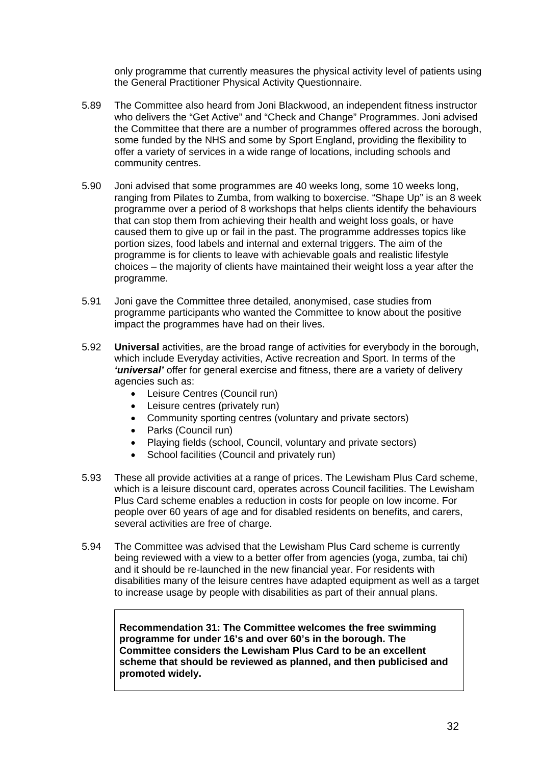only programme that currently measures the physical activity level of patients using the General Practitioner Physical Activity Questionnaire.

- 5.89 The Committee also heard from Joni Blackwood, an independent fitness instructor who delivers the "Get Active" and "Check and Change" Programmes. Joni advised the Committee that there are a number of programmes offered across the borough, some funded by the NHS and some by Sport England, providing the flexibility to offer a variety of services in a wide range of locations, including schools and community centres.
- 5.90 Joni advised that some programmes are 40 weeks long, some 10 weeks long, ranging from Pilates to Zumba, from walking to boxercise. "Shape Up" is an 8 week programme over a period of 8 workshops that helps clients identify the behaviours that can stop them from achieving their health and weight loss goals, or have caused them to give up or fail in the past. The programme addresses topics like portion sizes, food labels and internal and external triggers. The aim of the programme is for clients to leave with achievable goals and realistic lifestyle choices – the majority of clients have maintained their weight loss a year after the programme.
- 5.91 Joni gave the Committee three detailed, anonymised, case studies from programme participants who wanted the Committee to know about the positive impact the programmes have had on their lives.
- 5.92 **Universal** activities, are the broad range of activities for everybody in the borough, which include Everyday activities, Active recreation and Sport. In terms of the *'universal'* offer for general exercise and fitness, there are a variety of delivery agencies such as:
	- Leisure Centres (Council run)
	- Leisure centres (privately run)
	- Community sporting centres (voluntary and private sectors)
	- Parks (Council run)
	- Playing fields (school, Council, voluntary and private sectors)
	- School facilities (Council and privately run)
- 5.93 These all provide activities at a range of prices. The Lewisham Plus Card scheme, which is a leisure discount card, operates across Council facilities. The Lewisham Plus Card scheme enables a reduction in costs for people on low income. For people over 60 years of age and for disabled residents on benefits, and carers, several activities are free of charge.
- 5.94 The Committee was advised that the Lewisham Plus Card scheme is currently being reviewed with a view to a better offer from agencies (yoga, zumba, tai chi) and it should be re-launched in the new financial year. For residents with disabilities many of the leisure centres have adapted equipment as well as a target to increase usage by people with disabilities as part of their annual plans.

**Recommendation 31: The Committee welcomes the free swimming programme for under 16's and over 60's in the borough. The Committee considers the Lewisham Plus Card to be an excellent scheme that should be reviewed as planned, and then publicised and promoted widely.**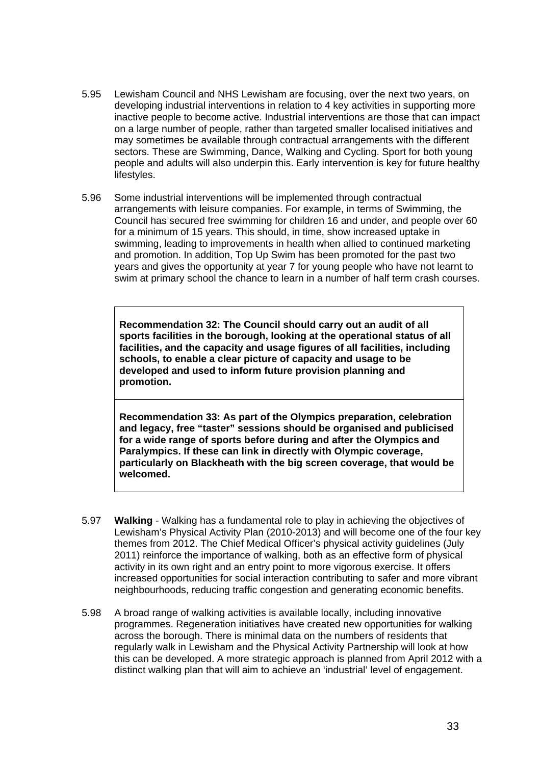- 5.95 Lewisham Council and NHS Lewisham are focusing, over the next two years, on developing industrial interventions in relation to 4 key activities in supporting more inactive people to become active. Industrial interventions are those that can impact on a large number of people, rather than targeted smaller localised initiatives and may sometimes be available through contractual arrangements with the different sectors. These are Swimming, Dance, Walking and Cycling. Sport for both young people and adults will also underpin this. Early intervention is key for future healthy lifestyles.
- 5.96 Some industrial interventions will be implemented through contractual arrangements with leisure companies. For example, in terms of Swimming, the Council has secured free swimming for children 16 and under, and people over 60 for a minimum of 15 years. This should, in time, show increased uptake in swimming, leading to improvements in health when allied to continued marketing and promotion. In addition, Top Up Swim has been promoted for the past two years and gives the opportunity at year 7 for young people who have not learnt to swim at primary school the chance to learn in a number of half term crash courses.

**Recommendation 32: The Council should carry out an audit of all sports facilities in the borough, looking at the operational status of all facilities, and the capacity and usage figures of all facilities, including schools, to enable a clear picture of capacity and usage to be developed and used to inform future provision planning and promotion.** 

**Recommendation 33: As part of the Olympics preparation, celebration and legacy, free "taster" sessions should be organised and publicised for a wide range of sports before during and after the Olympics and Paralympics. If these can link in directly with Olympic coverage, particularly on Blackheath with the big screen coverage, that would be welcomed.** 

- 5.97 **Walking** Walking has a fundamental role to play in achieving the objectives of Lewisham's Physical Activity Plan (2010-2013) and will become one of the four key themes from 2012. The Chief Medical Officer's physical activity guidelines (July 2011) reinforce the importance of walking, both as an effective form of physical activity in its own right and an entry point to more vigorous exercise. It offers increased opportunities for social interaction contributing to safer and more vibrant neighbourhoods, reducing traffic congestion and generating economic benefits.
- 5.98 A broad range of walking activities is available locally, including innovative programmes. Regeneration initiatives have created new opportunities for walking across the borough. There is minimal data on the numbers of residents that regularly walk in Lewisham and the Physical Activity Partnership will look at how this can be developed. A more strategic approach is planned from April 2012 with a distinct walking plan that will aim to achieve an 'industrial' level of engagement.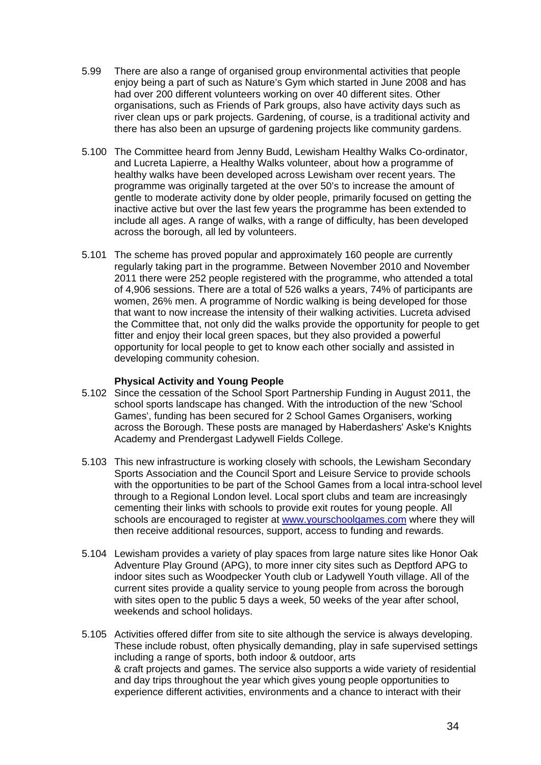- 5.99 There are also a range of organised group environmental activities that people enjoy being a part of such as Nature's Gym which started in June 2008 and has had over 200 different volunteers working on over 40 different sites. Other organisations, such as Friends of Park groups, also have activity days such as river clean ups or park projects. Gardening, of course, is a traditional activity and there has also been an upsurge of gardening projects like community gardens.
- 5.100 The Committee heard from Jenny Budd, Lewisham Healthy Walks Co-ordinator, and Lucreta Lapierre, a Healthy Walks volunteer, about how a programme of healthy walks have been developed across Lewisham over recent years. The programme was originally targeted at the over 50's to increase the amount of gentle to moderate activity done by older people, primarily focused on getting the inactive active but over the last few years the programme has been extended to include all ages. A range of walks, with a range of difficulty, has been developed across the borough, all led by volunteers.
- 5.101 The scheme has proved popular and approximately 160 people are currently regularly taking part in the programme. Between November 2010 and November 2011 there were 252 people registered with the programme, who attended a total of 4,906 sessions. There are a total of 526 walks a years, 74% of participants are women, 26% men. A programme of Nordic walking is being developed for those that want to now increase the intensity of their walking activities. Lucreta advised the Committee that, not only did the walks provide the opportunity for people to get fitter and enjoy their local green spaces, but they also provided a powerful opportunity for local people to get to know each other socially and assisted in developing community cohesion.

#### **Physical Activity and Young People**

- 5.102 Since the cessation of the School Sport Partnership Funding in August 2011, the school sports landscape has changed. With the introduction of the new 'School Games', funding has been secured for 2 School Games Organisers, working across the Borough. These posts are managed by Haberdashers' Aske's Knights Academy and Prendergast Ladywell Fields College.
- 5.103 This new infrastructure is working closely with schools, the Lewisham Secondary Sports Association and the Council Sport and Leisure Service to provide schools with the opportunities to be part of the School Games from a local intra-school level through to a Regional London level. Local sport clubs and team are increasingly cementing their links with schools to provide exit routes for young people. All schools are encouraged to register at www.yourschoolgames.com where they will then receive additional resources, support, access to funding and rewards.
- 5.104 Lewisham provides a variety of play spaces from large nature sites like Honor Oak Adventure Play Ground (APG), to more inner city sites such as Deptford APG to indoor sites such as Woodpecker Youth club or Ladywell Youth village. All of the current sites provide a quality service to young people from across the borough with sites open to the public 5 days a week, 50 weeks of the year after school, weekends and school holidays.
- 5.105 Activities offered differ from site to site although the service is always developing. These include robust, often physically demanding, play in safe supervised settings including a range of sports, both indoor & outdoor, arts & craft projects and games. The service also supports a wide variety of residential and day trips throughout the year which gives young people opportunities to experience different activities, environments and a chance to interact with their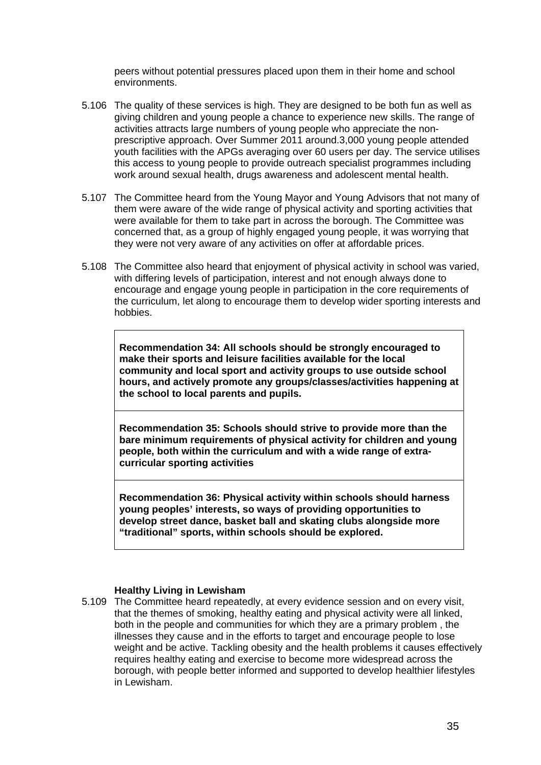peers without potential pressures placed upon them in their home and school environments.

- 5.106 The quality of these services is high. They are designed to be both fun as well as giving children and young people a chance to experience new skills. The range of activities attracts large numbers of young people who appreciate the nonprescriptive approach. Over Summer 2011 around.3,000 young people attended youth facilities with the APGs averaging over 60 users per day. The service utilises this access to young people to provide outreach specialist programmes including work around sexual health, drugs awareness and adolescent mental health.
- 5.107 The Committee heard from the Young Mayor and Young Advisors that not many of them were aware of the wide range of physical activity and sporting activities that were available for them to take part in across the borough. The Committee was concerned that, as a group of highly engaged young people, it was worrying that they were not very aware of any activities on offer at affordable prices.
- 5.108 The Committee also heard that enjoyment of physical activity in school was varied, with differing levels of participation, interest and not enough always done to encourage and engage young people in participation in the core requirements of the curriculum, let along to encourage them to develop wider sporting interests and hobbies.

**Recommendation 34: All schools should be strongly encouraged to make their sports and leisure facilities available for the local community and local sport and activity groups to use outside school hours, and actively promote any groups/classes/activities happening at the school to local parents and pupils.** 

**Recommendation 35: Schools should strive to provide more than the bare minimum requirements of physical activity for children and young people, both within the curriculum and with a wide range of extracurricular sporting activities** 

**Recommendation 36: Physical activity within schools should harness young peoples' interests, so ways of providing opportunities to develop street dance, basket ball and skating clubs alongside more "traditional" sports, within schools should be explored.** 

#### **Healthy Living in Lewisham**

5.109 The Committee heard repeatedly, at every evidence session and on every visit, that the themes of smoking, healthy eating and physical activity were all linked, both in the people and communities for which they are a primary problem , the illnesses they cause and in the efforts to target and encourage people to lose weight and be active. Tackling obesity and the health problems it causes effectively requires healthy eating and exercise to become more widespread across the borough, with people better informed and supported to develop healthier lifestyles in Lewisham.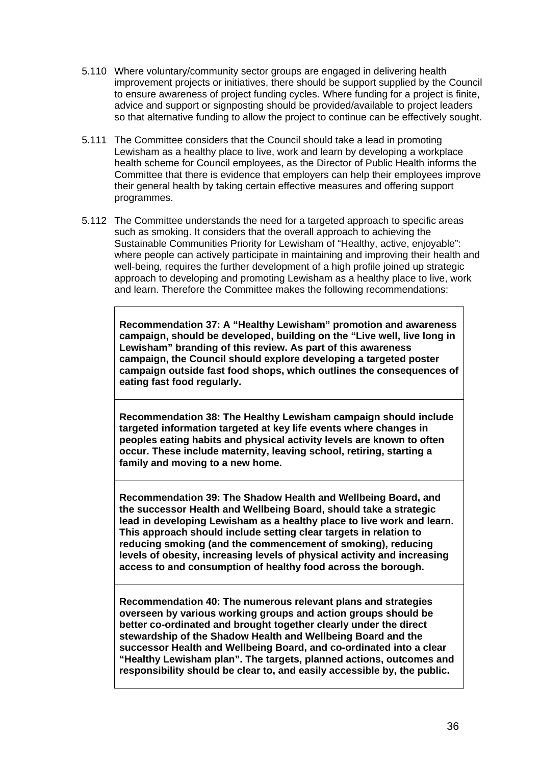- 5.110 Where voluntary/community sector groups are engaged in delivering health improvement projects or initiatives, there should be support supplied by the Council to ensure awareness of project funding cycles. Where funding for a project is finite, advice and support or signposting should be provided/available to project leaders so that alternative funding to allow the project to continue can be effectively sought.
- 5.111 The Committee considers that the Council should take a lead in promoting Lewisham as a healthy place to live, work and learn by developing a workplace health scheme for Council employees, as the Director of Public Health informs the Committee that there is evidence that employers can help their employees improve their general health by taking certain effective measures and offering support programmes.
- 5.112 The Committee understands the need for a targeted approach to specific areas such as smoking. It considers that the overall approach to achieving the Sustainable Communities Priority for Lewisham of "Healthy, active, enjoyable": where people can actively participate in maintaining and improving their health and well-being, requires the further development of a high profile joined up strategic approach to developing and promoting Lewisham as a healthy place to live, work and learn. Therefore the Committee makes the following recommendations:

**Recommendation 37: A "Healthy Lewisham" promotion and awareness campaign, should be developed, building on the "Live well, live long in Lewisham" branding of this review. As part of this awareness campaign, the Council should explore developing a targeted poster campaign outside fast food shops, which outlines the consequences of eating fast food regularly.** 

**Recommendation 38: The Healthy Lewisham campaign should include targeted information targeted at key life events where changes in peoples eating habits and physical activity levels are known to often occur. These include maternity, leaving school, retiring, starting a family and moving to a new home.** 

**Recommendation 39: The Shadow Health and Wellbeing Board, and the successor Health and Wellbeing Board, should take a strategic lead in developing Lewisham as a healthy place to live work and learn. This approach should include setting clear targets in relation to reducing smoking (and the commencement of smoking), reducing levels of obesity, increasing levels of physical activity and increasing access to and consumption of healthy food across the borough.** 

**Recommendation 40: The numerous relevant plans and strategies overseen by various working groups and action groups should be better co-ordinated and brought together clearly under the direct stewardship of the Shadow Health and Wellbeing Board and the successor Health and Wellbeing Board, and co-ordinated into a clear "Healthy Lewisham plan". The targets, planned actions, outcomes and responsibility should be clear to, and easily accessible by, the public.**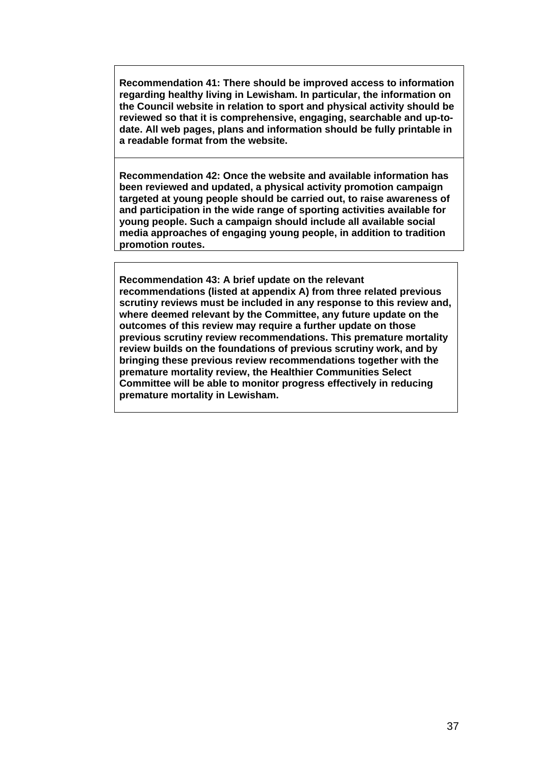**Recommendation 41: There should be improved access to information regarding healthy living in Lewisham. In particular, the information on the Council website in relation to sport and physical activity should be reviewed so that it is comprehensive, engaging, searchable and up-todate. All web pages, plans and information should be fully printable in a readable format from the website.** 

**Recommendation 42: Once the website and available information has been reviewed and updated, a physical activity promotion campaign targeted at young people should be carried out, to raise awareness of and participation in the wide range of sporting activities available for young people. Such a campaign should include all available social media approaches of engaging young people, in addition to tradition promotion routes.** 

**Recommendation 43: A brief update on the relevant recommendations (listed at appendix A) from three related previous scrutiny reviews must be included in any response to this review and, where deemed relevant by the Committee, any future update on the outcomes of this review may require a further update on those previous scrutiny review recommendations. This premature mortality review builds on the foundations of previous scrutiny work, and by bringing these previous review recommendations together with the premature mortality review, the Healthier Communities Select Committee will be able to monitor progress effectively in reducing premature mortality in Lewisham.**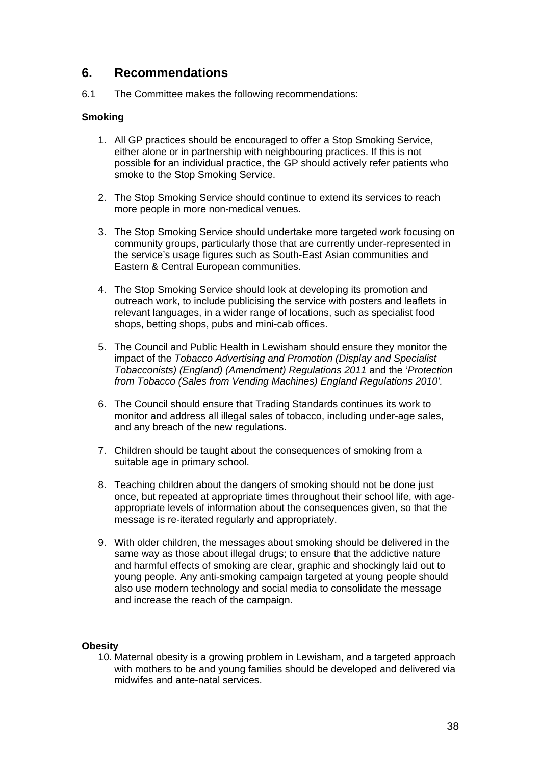### **6. Recommendations**

6.1 The Committee makes the following recommendations:

#### **Smoking**

- 1. All GP practices should be encouraged to offer a Stop Smoking Service, either alone or in partnership with neighbouring practices. If this is not possible for an individual practice, the GP should actively refer patients who smoke to the Stop Smoking Service.
- 2. The Stop Smoking Service should continue to extend its services to reach more people in more non-medical venues.
- 3. The Stop Smoking Service should undertake more targeted work focusing on community groups, particularly those that are currently under-represented in the service's usage figures such as South-East Asian communities and Eastern & Central European communities.
- 4. The Stop Smoking Service should look at developing its promotion and outreach work, to include publicising the service with posters and leaflets in relevant languages, in a wider range of locations, such as specialist food shops, betting shops, pubs and mini-cab offices.
- 5. The Council and Public Health in Lewisham should ensure they monitor the impact of the *Tobacco Advertising and Promotion (Display and Specialist Tobacconists) (England) (Amendment) Regulations 2011* and the '*Protection from Tobacco (Sales from Vending Machines) England Regulations 2010'.*
- 6. The Council should ensure that Trading Standards continues its work to monitor and address all illegal sales of tobacco, including under-age sales, and any breach of the new regulations.
- 7. Children should be taught about the consequences of smoking from a suitable age in primary school.
- 8. Teaching children about the dangers of smoking should not be done just once, but repeated at appropriate times throughout their school life, with ageappropriate levels of information about the consequences given, so that the message is re-iterated regularly and appropriately.
- 9. With older children, the messages about smoking should be delivered in the same way as those about illegal drugs; to ensure that the addictive nature and harmful effects of smoking are clear, graphic and shockingly laid out to young people. Any anti-smoking campaign targeted at young people should also use modern technology and social media to consolidate the message and increase the reach of the campaign.

#### **Obesity**

10. Maternal obesity is a growing problem in Lewisham, and a targeted approach with mothers to be and young families should be developed and delivered via midwifes and ante-natal services.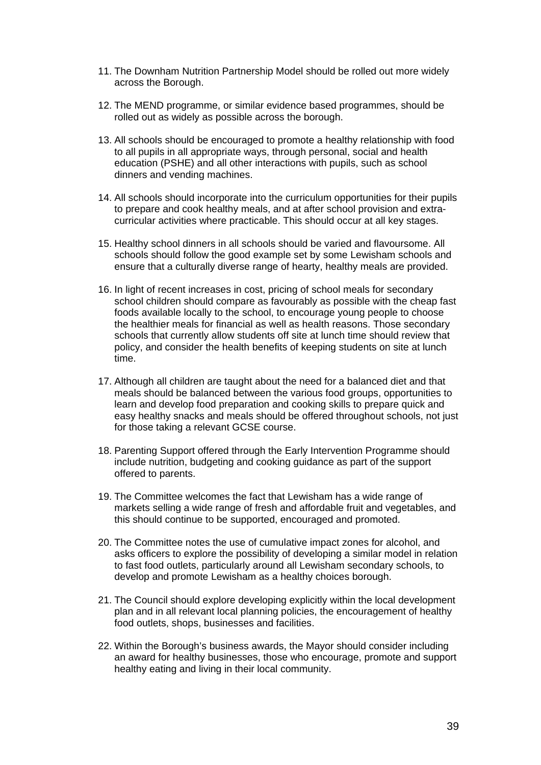- 11. The Downham Nutrition Partnership Model should be rolled out more widely across the Borough.
- 12. The MEND programme, or similar evidence based programmes, should be rolled out as widely as possible across the borough.
- 13. All schools should be encouraged to promote a healthy relationship with food to all pupils in all appropriate ways, through personal, social and health education (PSHE) and all other interactions with pupils, such as school dinners and vending machines.
- 14. All schools should incorporate into the curriculum opportunities for their pupils to prepare and cook healthy meals, and at after school provision and extracurricular activities where practicable. This should occur at all key stages.
- 15. Healthy school dinners in all schools should be varied and flavoursome. All schools should follow the good example set by some Lewisham schools and ensure that a culturally diverse range of hearty, healthy meals are provided.
- 16. In light of recent increases in cost, pricing of school meals for secondary school children should compare as favourably as possible with the cheap fast foods available locally to the school, to encourage young people to choose the healthier meals for financial as well as health reasons. Those secondary schools that currently allow students off site at lunch time should review that policy, and consider the health benefits of keeping students on site at lunch time.
- 17. Although all children are taught about the need for a balanced diet and that meals should be balanced between the various food groups, opportunities to learn and develop food preparation and cooking skills to prepare quick and easy healthy snacks and meals should be offered throughout schools, not just for those taking a relevant GCSE course.
- 18. Parenting Support offered through the Early Intervention Programme should include nutrition, budgeting and cooking guidance as part of the support offered to parents.
- 19. The Committee welcomes the fact that Lewisham has a wide range of markets selling a wide range of fresh and affordable fruit and vegetables, and this should continue to be supported, encouraged and promoted.
- 20. The Committee notes the use of cumulative impact zones for alcohol, and asks officers to explore the possibility of developing a similar model in relation to fast food outlets, particularly around all Lewisham secondary schools, to develop and promote Lewisham as a healthy choices borough.
- 21. The Council should explore developing explicitly within the local development plan and in all relevant local planning policies, the encouragement of healthy food outlets, shops, businesses and facilities.
- 22. Within the Borough's business awards, the Mayor should consider including an award for healthy businesses, those who encourage, promote and support healthy eating and living in their local community.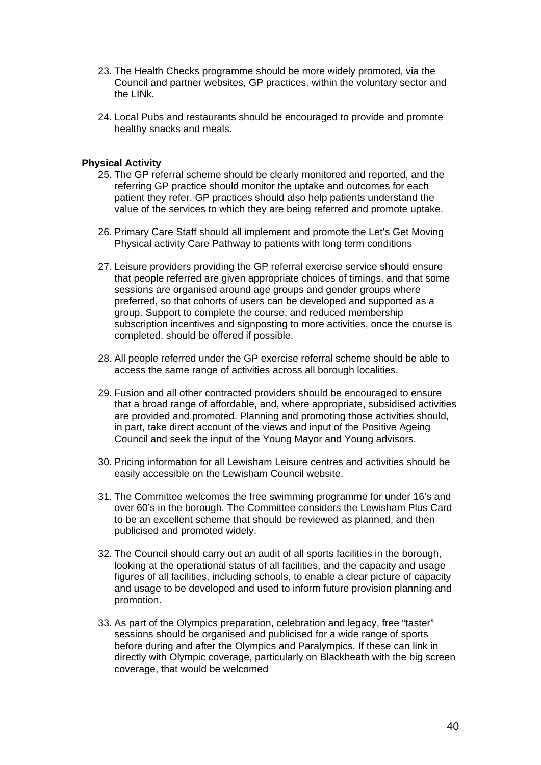- 23. The Health Checks programme should be more widely promoted, via the Council and partner websites, GP practices, within the voluntary sector and the LINk.
- 24. Local Pubs and restaurants should be encouraged to provide and promote healthy snacks and meals.

#### **Physical Activity**

- 25. The GP referral scheme should be clearly monitored and reported, and the referring GP practice should monitor the uptake and outcomes for each patient they refer. GP practices should also help patients understand the value of the services to which they are being referred and promote uptake.
- 26. Primary Care Staff should all implement and promote the Let's Get Moving Physical activity Care Pathway to patients with long term conditions
- 27. Leisure providers providing the GP referral exercise service should ensure that people referred are given appropriate choices of timings, and that some sessions are organised around age groups and gender groups where preferred, so that cohorts of users can be developed and supported as a group. Support to complete the course, and reduced membership subscription incentives and signposting to more activities, once the course is completed, should be offered if possible.
- 28. All people referred under the GP exercise referral scheme should be able to access the same range of activities across all borough localities.
- 29. Fusion and all other contracted providers should be encouraged to ensure that a broad range of affordable, and, where appropriate, subsidised activities are provided and promoted. Planning and promoting those activities should, in part, take direct account of the views and input of the Positive Ageing Council and seek the input of the Young Mayor and Young advisors.
- 30. Pricing information for all Lewisham Leisure centres and activities should be easily accessible on the Lewisham Council website.
- 31. The Committee welcomes the free swimming programme for under 16's and over 60's in the borough. The Committee considers the Lewisham Plus Card to be an excellent scheme that should be reviewed as planned, and then publicised and promoted widely.
- 32. The Council should carry out an audit of all sports facilities in the borough, looking at the operational status of all facilities, and the capacity and usage figures of all facilities, including schools, to enable a clear picture of capacity and usage to be developed and used to inform future provision planning and promotion.
- 33. As part of the Olympics preparation, celebration and legacy, free "taster" sessions should be organised and publicised for a wide range of sports before during and after the Olympics and Paralympics. If these can link in directly with Olympic coverage, particularly on Blackheath with the big screen coverage, that would be welcomed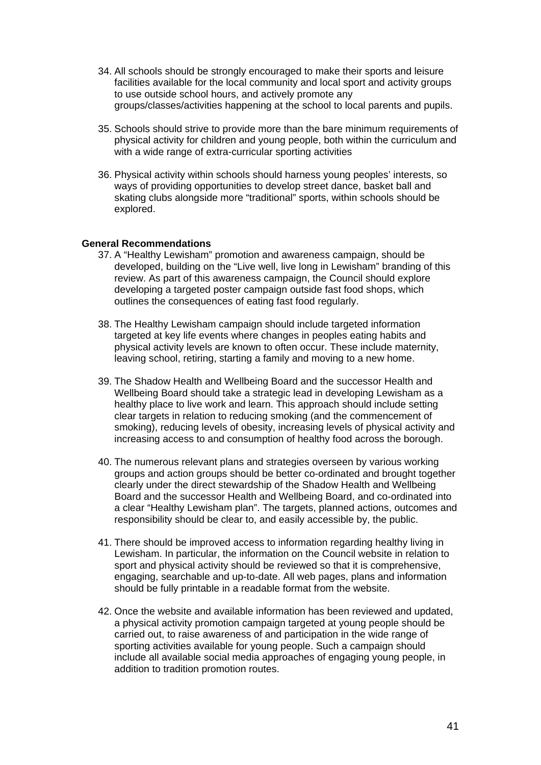- 34. All schools should be strongly encouraged to make their sports and leisure facilities available for the local community and local sport and activity groups to use outside school hours, and actively promote any groups/classes/activities happening at the school to local parents and pupils.
- 35. Schools should strive to provide more than the bare minimum requirements of physical activity for children and young people, both within the curriculum and with a wide range of extra-curricular sporting activities
- 36. Physical activity within schools should harness young peoples' interests, so ways of providing opportunities to develop street dance, basket ball and skating clubs alongside more "traditional" sports, within schools should be explored.

#### **General Recommendations**

- 37. A "Healthy Lewisham" promotion and awareness campaign, should be developed, building on the "Live well, live long in Lewisham" branding of this review. As part of this awareness campaign, the Council should explore developing a targeted poster campaign outside fast food shops, which outlines the consequences of eating fast food regularly.
- 38. The Healthy Lewisham campaign should include targeted information targeted at key life events where changes in peoples eating habits and physical activity levels are known to often occur. These include maternity, leaving school, retiring, starting a family and moving to a new home.
- 39. The Shadow Health and Wellbeing Board and the successor Health and Wellbeing Board should take a strategic lead in developing Lewisham as a healthy place to live work and learn. This approach should include setting clear targets in relation to reducing smoking (and the commencement of smoking), reducing levels of obesity, increasing levels of physical activity and increasing access to and consumption of healthy food across the borough.
- 40. The numerous relevant plans and strategies overseen by various working groups and action groups should be better co-ordinated and brought together clearly under the direct stewardship of the Shadow Health and Wellbeing Board and the successor Health and Wellbeing Board, and co-ordinated into a clear "Healthy Lewisham plan". The targets, planned actions, outcomes and responsibility should be clear to, and easily accessible by, the public.
- 41. There should be improved access to information regarding healthy living in Lewisham. In particular, the information on the Council website in relation to sport and physical activity should be reviewed so that it is comprehensive, engaging, searchable and up-to-date. All web pages, plans and information should be fully printable in a readable format from the website.
- 42. Once the website and available information has been reviewed and updated, a physical activity promotion campaign targeted at young people should be carried out, to raise awareness of and participation in the wide range of sporting activities available for young people. Such a campaign should include all available social media approaches of engaging young people, in addition to tradition promotion routes.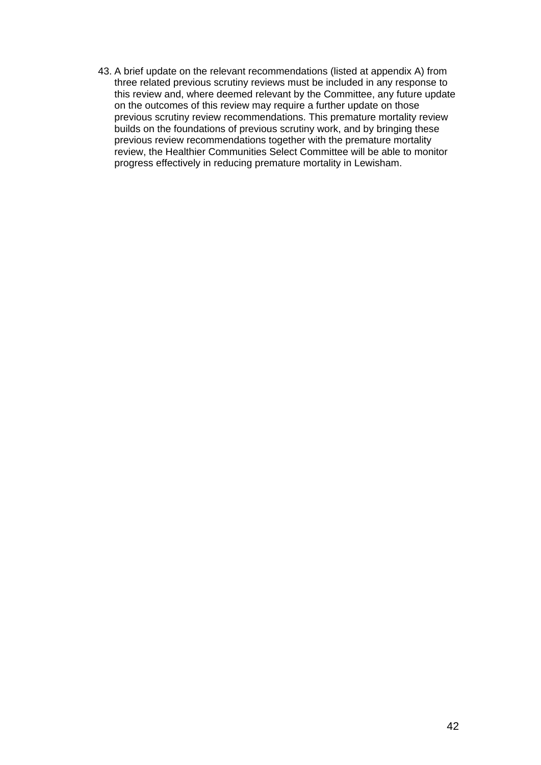43. A brief update on the relevant recommendations (listed at appendix A) from three related previous scrutiny reviews must be included in any response to this review and, where deemed relevant by the Committee, any future update on the outcomes of this review may require a further update on those previous scrutiny review recommendations. This premature mortality review builds on the foundations of previous scrutiny work, and by bringing these previous review recommendations together with the premature mortality review, the Healthier Communities Select Committee will be able to monitor progress effectively in reducing premature mortality in Lewisham.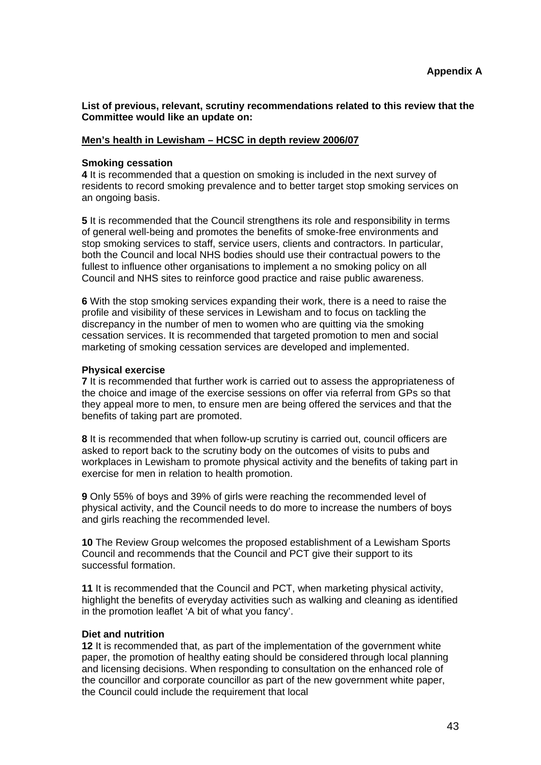**List of previous, relevant, scrutiny recommendations related to this review that the Committee would like an update on:** 

#### **Men's health in Lewisham – HCSC in depth review 2006/07**

#### **Smoking cessation**

**4** It is recommended that a question on smoking is included in the next survey of residents to record smoking prevalence and to better target stop smoking services on an ongoing basis.

**5** It is recommended that the Council strengthens its role and responsibility in terms of general well-being and promotes the benefits of smoke-free environments and stop smoking services to staff, service users, clients and contractors. In particular, both the Council and local NHS bodies should use their contractual powers to the fullest to influence other organisations to implement a no smoking policy on all Council and NHS sites to reinforce good practice and raise public awareness.

**6** With the stop smoking services expanding their work, there is a need to raise the profile and visibility of these services in Lewisham and to focus on tackling the discrepancy in the number of men to women who are quitting via the smoking cessation services. It is recommended that targeted promotion to men and social marketing of smoking cessation services are developed and implemented.

#### **Physical exercise**

**7** It is recommended that further work is carried out to assess the appropriateness of the choice and image of the exercise sessions on offer via referral from GPs so that they appeal more to men, to ensure men are being offered the services and that the benefits of taking part are promoted.

**8** It is recommended that when follow-up scrutiny is carried out, council officers are asked to report back to the scrutiny body on the outcomes of visits to pubs and workplaces in Lewisham to promote physical activity and the benefits of taking part in exercise for men in relation to health promotion.

**9** Only 55% of boys and 39% of girls were reaching the recommended level of physical activity, and the Council needs to do more to increase the numbers of boys and girls reaching the recommended level.

**10** The Review Group welcomes the proposed establishment of a Lewisham Sports Council and recommends that the Council and PCT give their support to its successful formation.

**11** It is recommended that the Council and PCT, when marketing physical activity, highlight the benefits of everyday activities such as walking and cleaning as identified in the promotion leaflet 'A bit of what you fancy'.

#### **Diet and nutrition**

**12** It is recommended that, as part of the implementation of the government white paper, the promotion of healthy eating should be considered through local planning and licensing decisions. When responding to consultation on the enhanced role of the councillor and corporate councillor as part of the new government white paper, the Council could include the requirement that local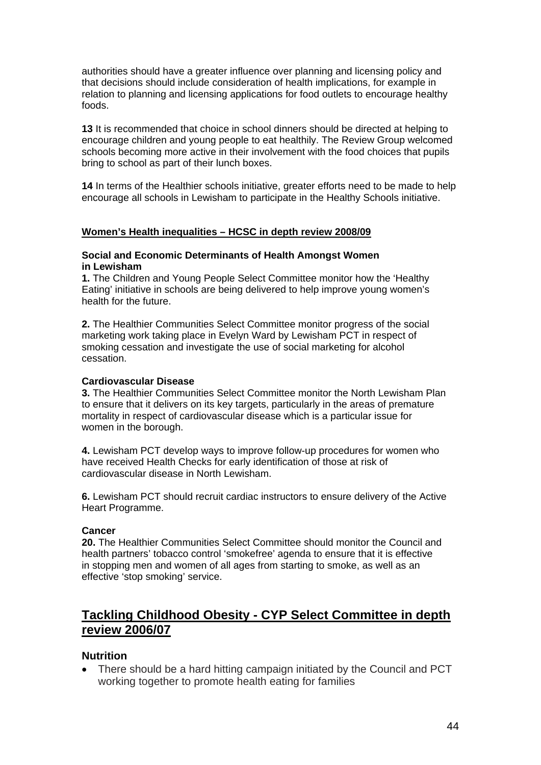authorities should have a greater influence over planning and licensing policy and that decisions should include consideration of health implications, for example in relation to planning and licensing applications for food outlets to encourage healthy foods.

**13** It is recommended that choice in school dinners should be directed at helping to encourage children and young people to eat healthily. The Review Group welcomed schools becoming more active in their involvement with the food choices that pupils bring to school as part of their lunch boxes.

**14** In terms of the Healthier schools initiative, greater efforts need to be made to help encourage all schools in Lewisham to participate in the Healthy Schools initiative.

#### **Women's Health inequalities – HCSC in depth review 2008/09**

#### **Social and Economic Determinants of Health Amongst Women in Lewisham**

**1.** The Children and Young People Select Committee monitor how the 'Healthy Eating' initiative in schools are being delivered to help improve young women's health for the future.

**2.** The Healthier Communities Select Committee monitor progress of the social marketing work taking place in Evelyn Ward by Lewisham PCT in respect of smoking cessation and investigate the use of social marketing for alcohol cessation.

#### **Cardiovascular Disease**

**3.** The Healthier Communities Select Committee monitor the North Lewisham Plan to ensure that it delivers on its key targets, particularly in the areas of premature mortality in respect of cardiovascular disease which is a particular issue for women in the borough.

**4.** Lewisham PCT develop ways to improve follow-up procedures for women who have received Health Checks for early identification of those at risk of cardiovascular disease in North Lewisham.

**6.** Lewisham PCT should recruit cardiac instructors to ensure delivery of the Active Heart Programme.

#### **Cancer**

**20.** The Healthier Communities Select Committee should monitor the Council and health partners' tobacco control 'smokefree' agenda to ensure that it is effective in stopping men and women of all ages from starting to smoke, as well as an effective 'stop smoking' service.

### **Tackling Childhood Obesity - CYP Select Committee in depth review 2006/07**

#### **Nutrition**

• There should be a hard hitting campaign initiated by the Council and PCT working together to promote health eating for families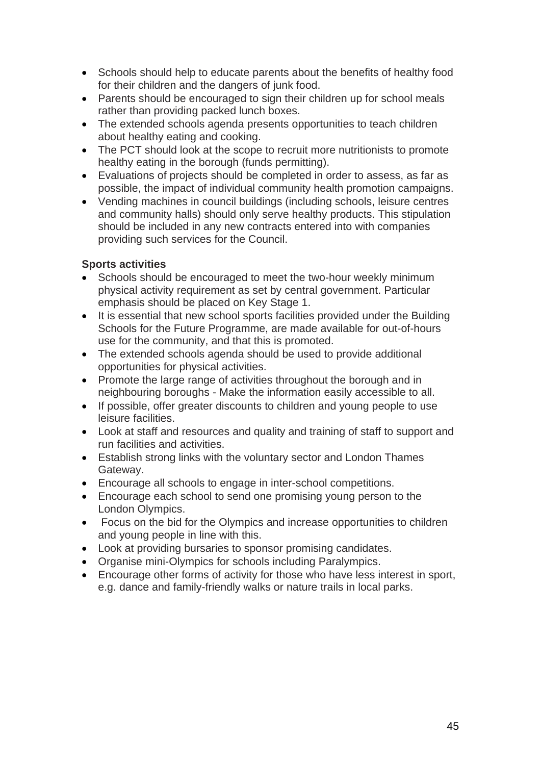- Schools should help to educate parents about the benefits of healthy food for their children and the dangers of junk food.
- Parents should be encouraged to sign their children up for school meals rather than providing packed lunch boxes.
- The extended schools agenda presents opportunities to teach children about healthy eating and cooking.
- The PCT should look at the scope to recruit more nutritionists to promote healthy eating in the borough (funds permitting).
- Evaluations of projects should be completed in order to assess, as far as possible, the impact of individual community health promotion campaigns.
- Vending machines in council buildings (including schools, leisure centres and community halls) should only serve healthy products. This stipulation should be included in any new contracts entered into with companies providing such services for the Council.

#### **Sports activities**

- Schools should be encouraged to meet the two-hour weekly minimum physical activity requirement as set by central government. Particular emphasis should be placed on Key Stage 1.
- It is essential that new school sports facilities provided under the Building Schools for the Future Programme, are made available for out-of-hours use for the community, and that this is promoted.
- The extended schools agenda should be used to provide additional opportunities for physical activities.
- Promote the large range of activities throughout the borough and in neighbouring boroughs - Make the information easily accessible to all.
- If possible, offer greater discounts to children and young people to use leisure facilities.
- Look at staff and resources and quality and training of staff to support and run facilities and activities.
- Establish strong links with the voluntary sector and London Thames Gateway.
- Encourage all schools to engage in inter-school competitions.
- Encourage each school to send one promising young person to the London Olympics.
- Focus on the bid for the Olympics and increase opportunities to children and young people in line with this.
- Look at providing bursaries to sponsor promising candidates.
- Organise mini-Olympics for schools including Paralympics.
- Encourage other forms of activity for those who have less interest in sport, e.g. dance and family-friendly walks or nature trails in local parks.